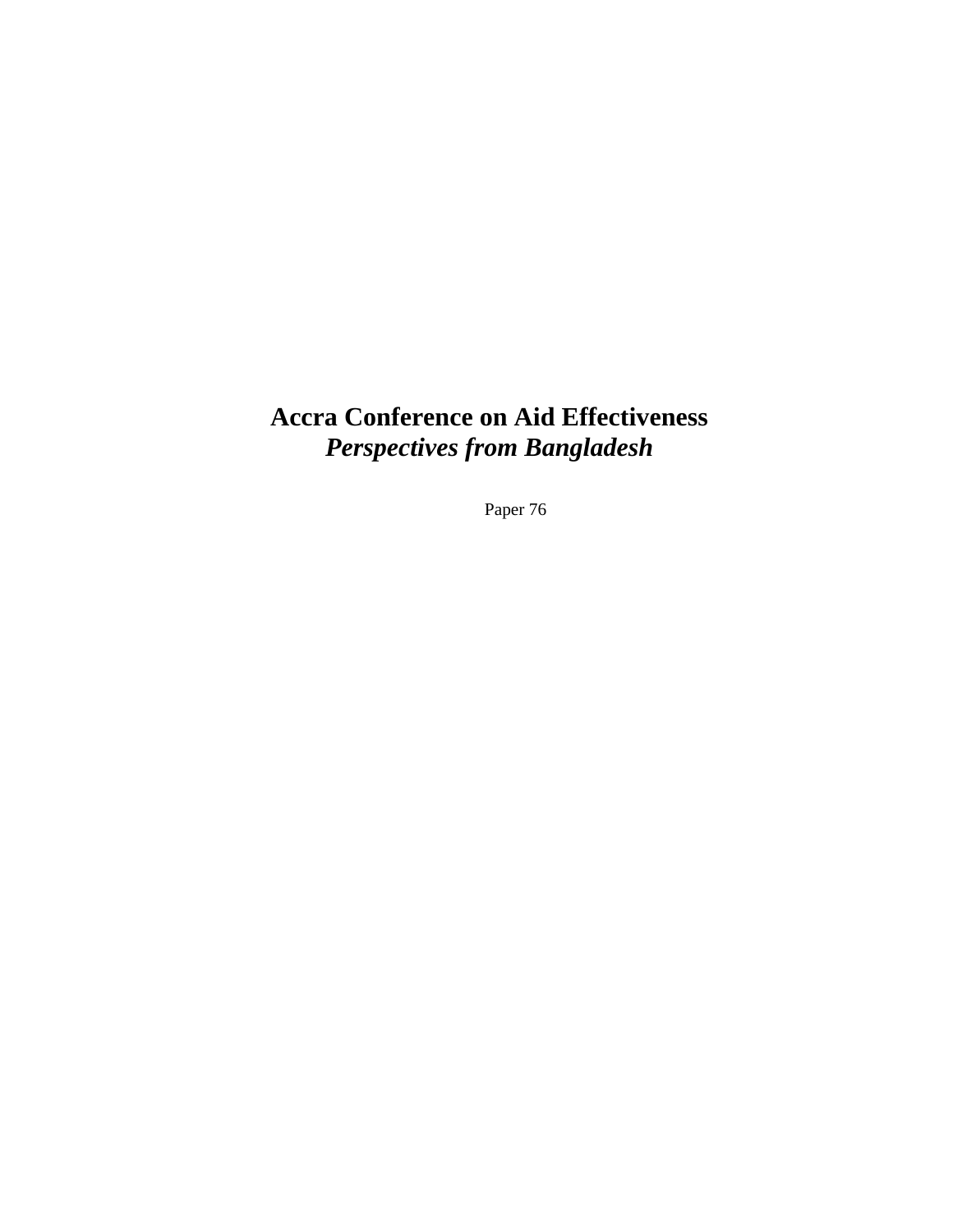# **Accra Conference on Aid Effectiveness**  *Perspectives from Bangladesh*

Paper 76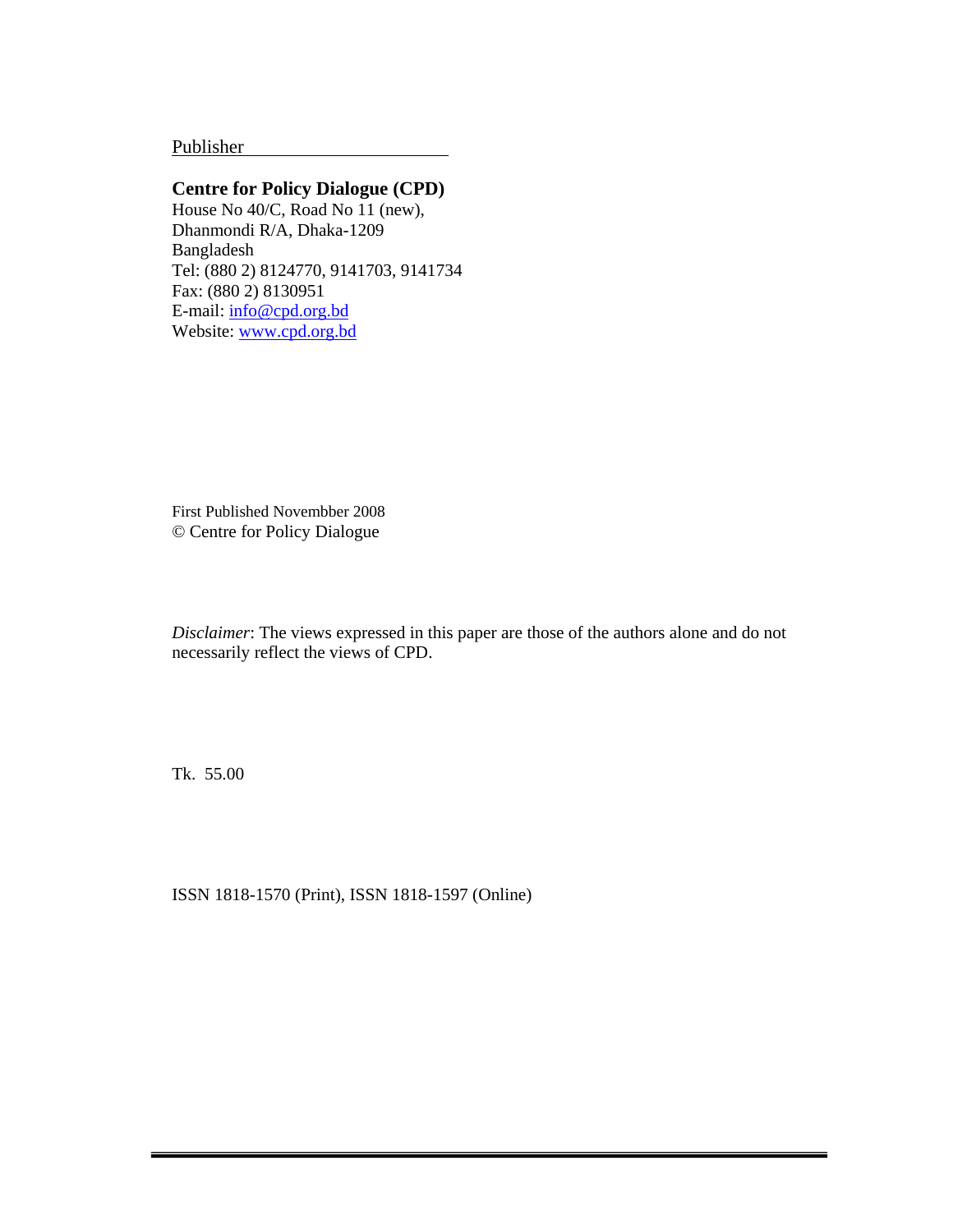Publisher .

## **Centre for Policy Dialogue (CPD)**

House No 40/C, Road No 11 (new), Dhanmondi R/A, Dhaka-1209 Bangladesh Tel: (880 2) 8124770, 9141703, 9141734 Fax: (880 2) 8130951 E-mail: info@cpd.org.bd Website: www.cpd.org.bd

First Published Novembber 2008 © Centre for Policy Dialogue

*Disclaimer*: The views expressed in this paper are those of the authors alone and do not necessarily reflect the views of CPD.

Tk. 55.00

ISSN 1818-1570 (Print), ISSN 1818-1597 (Online)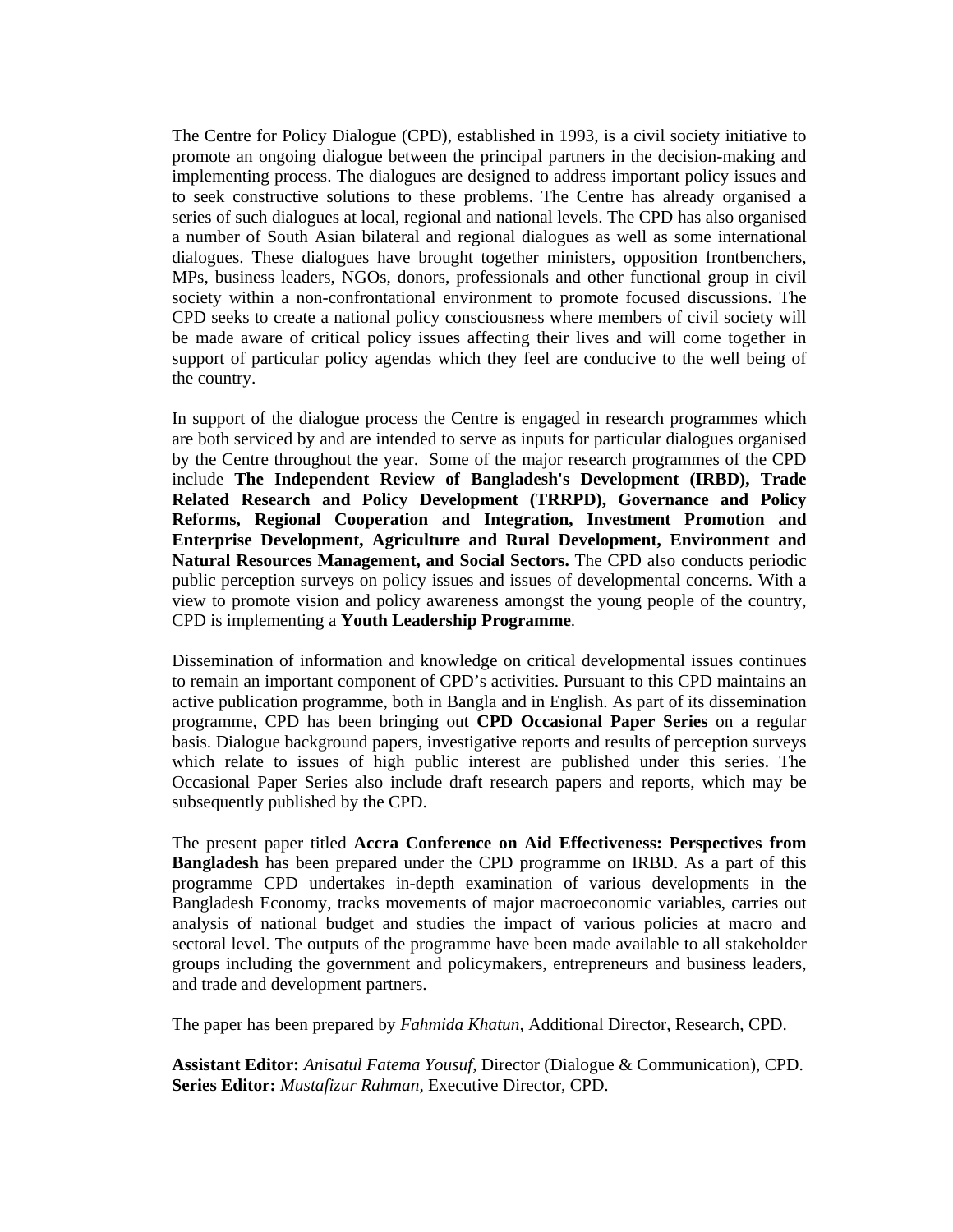The Centre for Policy Dialogue (CPD), established in 1993, is a civil society initiative to promote an ongoing dialogue between the principal partners in the decision-making and implementing process. The dialogues are designed to address important policy issues and to seek constructive solutions to these problems. The Centre has already organised a series of such dialogues at local, regional and national levels. The CPD has also organised a number of South Asian bilateral and regional dialogues as well as some international dialogues. These dialogues have brought together ministers, opposition frontbenchers, MPs, business leaders, NGOs, donors, professionals and other functional group in civil society within a non-confrontational environment to promote focused discussions. The CPD seeks to create a national policy consciousness where members of civil society will be made aware of critical policy issues affecting their lives and will come together in support of particular policy agendas which they feel are conducive to the well being of the country.

In support of the dialogue process the Centre is engaged in research programmes which are both serviced by and are intended to serve as inputs for particular dialogues organised by the Centre throughout the year. Some of the major research programmes of the CPD include **The Independent Review of Bangladesh's Development (IRBD), Trade Related Research and Policy Development (TRRPD), Governance and Policy Reforms, Regional Cooperation and Integration, Investment Promotion and Enterprise Development, Agriculture and Rural Development, Environment and Natural Resources Management, and Social Sectors.** The CPD also conducts periodic public perception surveys on policy issues and issues of developmental concerns. With a view to promote vision and policy awareness amongst the young people of the country, CPD is implementing a **Youth Leadership Programme**.

Dissemination of information and knowledge on critical developmental issues continues to remain an important component of CPD's activities. Pursuant to this CPD maintains an active publication programme, both in Bangla and in English. As part of its dissemination programme, CPD has been bringing out **CPD Occasional Paper Series** on a regular basis. Dialogue background papers, investigative reports and results of perception surveys which relate to issues of high public interest are published under this series. The Occasional Paper Series also include draft research papers and reports, which may be subsequently published by the CPD.

The present paper titled **Accra Conference on Aid Effectiveness: Perspectives from Bangladesh** has been prepared under the CPD programme on IRBD. As a part of this programme CPD undertakes in-depth examination of various developments in the Bangladesh Economy, tracks movements of major macroeconomic variables, carries out analysis of national budget and studies the impact of various policies at macro and sectoral level. The outputs of the programme have been made available to all stakeholder groups including the government and policymakers, entrepreneurs and business leaders, and trade and development partners.

The paper has been prepared by *Fahmida Khatun,* Additional Director, Research, CPD.

**Assistant Editor:** *Anisatul Fatema Yousuf,* Director (Dialogue & Communication), CPD. **Series Editor:** *Mustafizur Rahman,* Executive Director, CPD.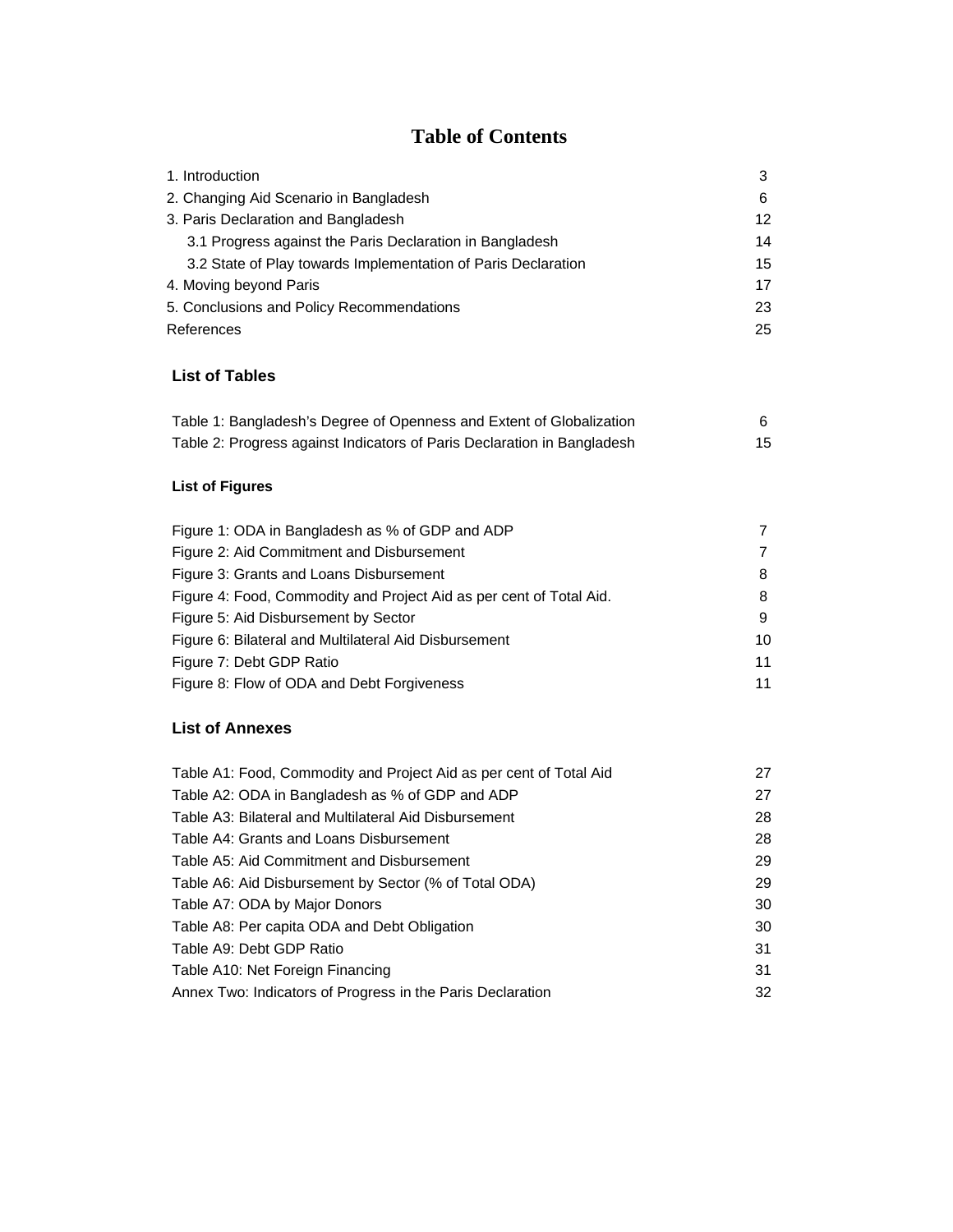# **Table of Contents**

| 1. Introduction                                               | 3               |
|---------------------------------------------------------------|-----------------|
| 2. Changing Aid Scenario in Bangladesh                        | 6               |
| 3. Paris Declaration and Bangladesh                           | 12 <sup>°</sup> |
| 3.1 Progress against the Paris Declaration in Bangladesh      | 14              |
| 3.2 State of Play towards Implementation of Paris Declaration | 15              |
| 4. Moving beyond Paris                                        | 17              |
| 5. Conclusions and Policy Recommendations                     | 23              |
| References                                                    | 25              |

## **List of Tables**

| Table 1: Bangladesh's Degree of Openness and Extent of Globalization    |    |
|-------------------------------------------------------------------------|----|
| Table 2: Progress against Indicators of Paris Declaration in Bangladesh | 15 |

## **List of Figures**

| Figure 1: ODA in Bangladesh as % of GDP and ADP                     |    |
|---------------------------------------------------------------------|----|
| Figure 2: Aid Commitment and Disbursement                           |    |
| Figure 3: Grants and Loans Disbursement                             | 8  |
| Figure 4: Food, Commodity and Project Aid as per cent of Total Aid. | 8  |
| Figure 5: Aid Disbursement by Sector                                | 9  |
| Figure 6: Bilateral and Multilateral Aid Disbursement               | 10 |
| Figure 7: Debt GDP Ratio                                            | 11 |
| Figure 8: Flow of ODA and Debt Forgiveness                          | 11 |

## **List of Annexes**

| Table A1: Food, Commodity and Project Aid as per cent of Total Aid | 27 |
|--------------------------------------------------------------------|----|
| Table A2: ODA in Bangladesh as % of GDP and ADP                    | 27 |
| Table A3: Bilateral and Multilateral Aid Disbursement              | 28 |
| Table A4: Grants and Loans Disbursement                            | 28 |
| Table A5: Aid Commitment and Disbursement                          | 29 |
| Table A6: Aid Disbursement by Sector (% of Total ODA)              | 29 |
| Table A7: ODA by Major Donors                                      | 30 |
| Table A8: Per capita ODA and Debt Obligation                       | 30 |
| Table A9: Debt GDP Ratio                                           | 31 |
| Table A10: Net Foreign Financing                                   | 31 |
| Annex Two: Indicators of Progress in the Paris Declaration         | 32 |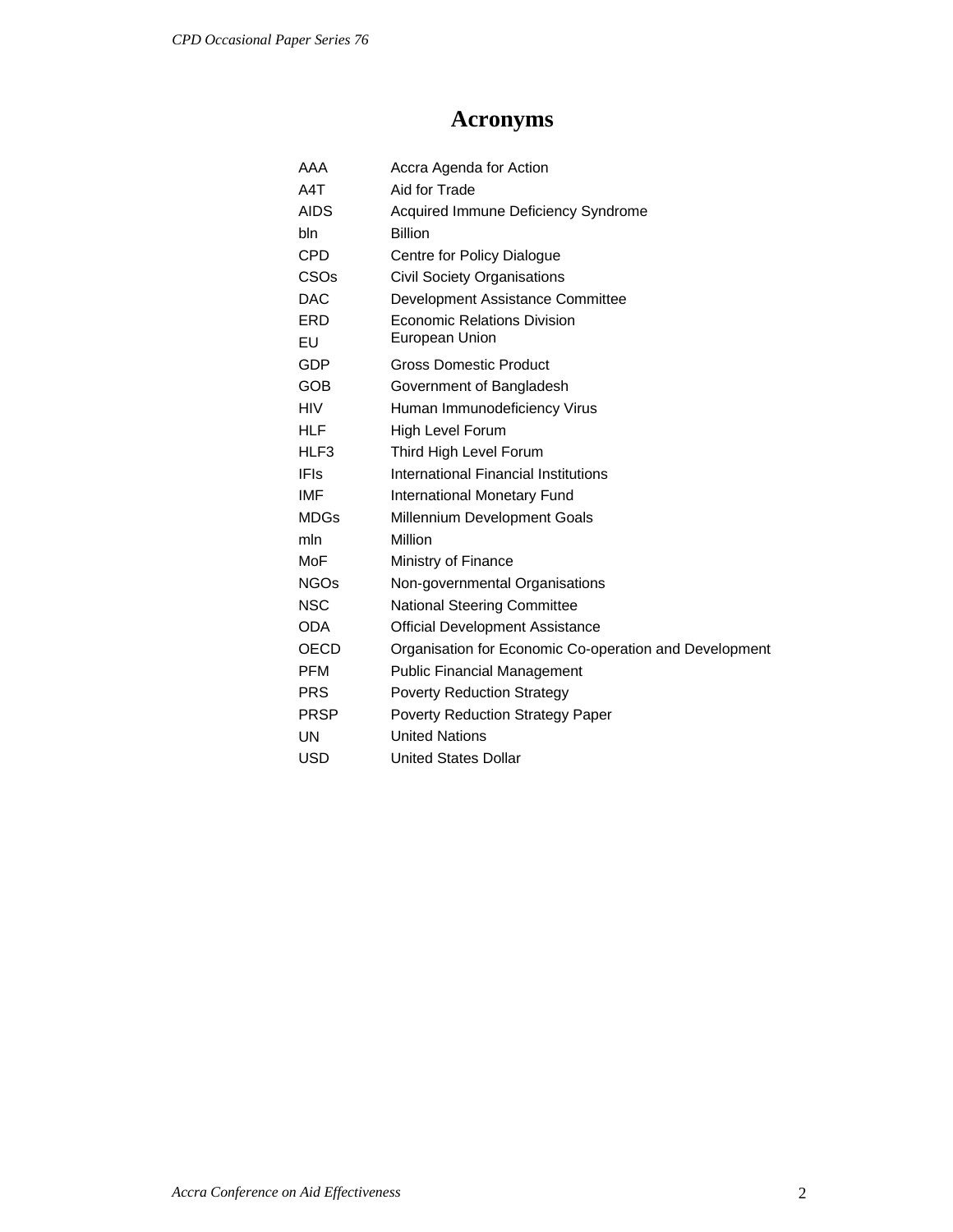# **Acronyms**

| AAA              | Accra Agenda for Action                                |
|------------------|--------------------------------------------------------|
| A4T              | Aid for Trade                                          |
| <b>AIDS</b>      | Acquired Immune Deficiency Syndrome                    |
| bln              | <b>Billion</b>                                         |
| <b>CPD</b>       | Centre for Policy Dialogue                             |
| CSO <sub>s</sub> | <b>Civil Society Organisations</b>                     |
| <b>DAC</b>       | Development Assistance Committee                       |
| ERD              | <b>Economic Relations Division</b>                     |
| EU               | <b>European Union</b>                                  |
| <b>GDP</b>       | <b>Gross Domestic Product</b>                          |
| GOB              | Government of Bangladesh                               |
| <b>HIV</b>       | Human Immunodeficiency Virus                           |
| HLF              | High Level Forum                                       |
| HLF3             | Third High Level Forum                                 |
| <b>IFIs</b>      | International Financial Institutions                   |
| IMF              | <b>International Monetary Fund</b>                     |
| <b>MDGs</b>      | Millennium Development Goals                           |
| mln              | Million                                                |
| MoF              | Ministry of Finance                                    |
| NGOs             | Non-governmental Organisations                         |
| <b>NSC</b>       | <b>National Steering Committee</b>                     |
| <b>ODA</b>       | <b>Official Development Assistance</b>                 |
| OECD             | Organisation for Economic Co-operation and Development |
| <b>PFM</b>       | <b>Public Financial Management</b>                     |
| <b>PRS</b>       | <b>Poverty Reduction Strategy</b>                      |
| <b>PRSP</b>      | <b>Poverty Reduction Strategy Paper</b>                |
| UN               | <b>United Nations</b>                                  |
| <b>USD</b>       | <b>United States Dollar</b>                            |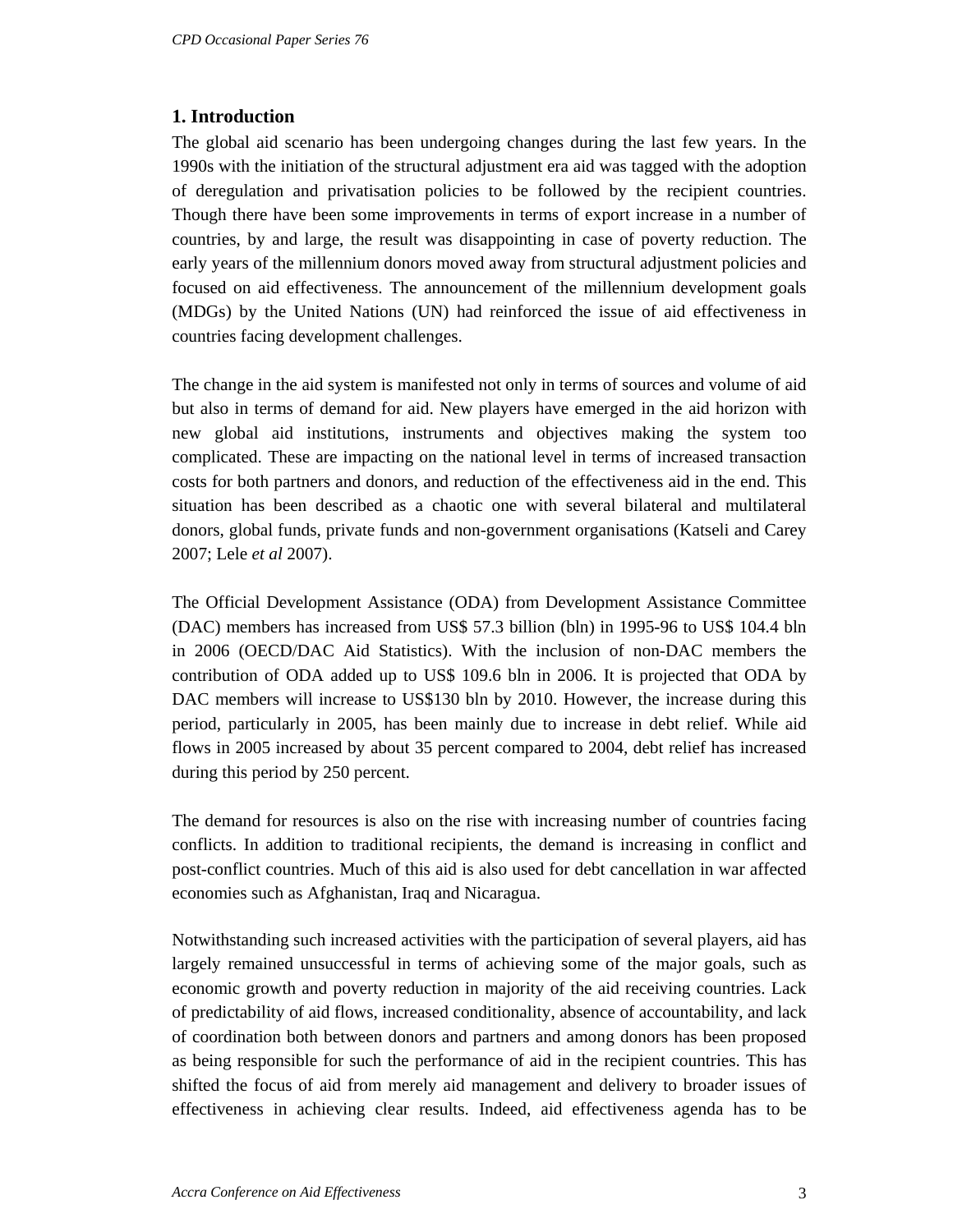## **1. Introduction**

The global aid scenario has been undergoing changes during the last few years. In the 1990s with the initiation of the structural adjustment era aid was tagged with the adoption of deregulation and privatisation policies to be followed by the recipient countries. Though there have been some improvements in terms of export increase in a number of countries, by and large, the result was disappointing in case of poverty reduction. The early years of the millennium donors moved away from structural adjustment policies and focused on aid effectiveness. The announcement of the millennium development goals (MDGs) by the United Nations (UN) had reinforced the issue of aid effectiveness in countries facing development challenges.

The change in the aid system is manifested not only in terms of sources and volume of aid but also in terms of demand for aid. New players have emerged in the aid horizon with new global aid institutions, instruments and objectives making the system too complicated. These are impacting on the national level in terms of increased transaction costs for both partners and donors, and reduction of the effectiveness aid in the end. This situation has been described as a chaotic one with several bilateral and multilateral donors, global funds, private funds and non-government organisations (Katseli and Carey 2007; Lele *et al* 2007).

The Official Development Assistance (ODA) from Development Assistance Committee (DAC) members has increased from US\$ 57.3 billion (bln) in 1995-96 to US\$ 104.4 bln in 2006 (OECD/DAC Aid Statistics). With the inclusion of non-DAC members the contribution of ODA added up to US\$ 109.6 bln in 2006. It is projected that ODA by DAC members will increase to US\$130 bln by 2010. However, the increase during this period, particularly in 2005, has been mainly due to increase in debt relief. While aid flows in 2005 increased by about 35 percent compared to 2004, debt relief has increased during this period by 250 percent.

The demand for resources is also on the rise with increasing number of countries facing conflicts. In addition to traditional recipients, the demand is increasing in conflict and post-conflict countries. Much of this aid is also used for debt cancellation in war affected economies such as Afghanistan, Iraq and Nicaragua.

Notwithstanding such increased activities with the participation of several players, aid has largely remained unsuccessful in terms of achieving some of the major goals, such as economic growth and poverty reduction in majority of the aid receiving countries. Lack of predictability of aid flows, increased conditionality, absence of accountability, and lack of coordination both between donors and partners and among donors has been proposed as being responsible for such the performance of aid in the recipient countries. This has shifted the focus of aid from merely aid management and delivery to broader issues of effectiveness in achieving clear results. Indeed, aid effectiveness agenda has to be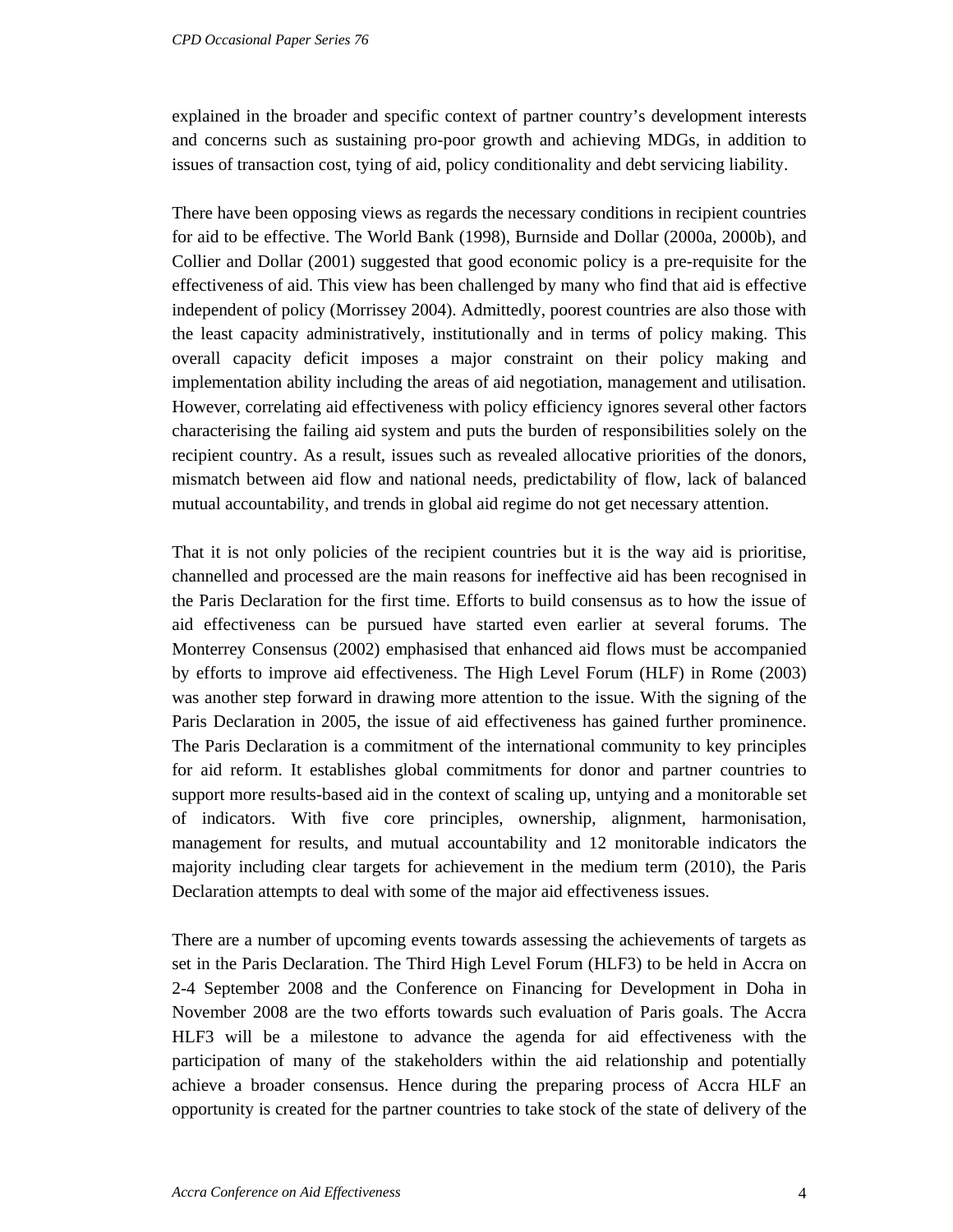explained in the broader and specific context of partner country's development interests and concerns such as sustaining pro-poor growth and achieving MDGs, in addition to issues of transaction cost, tying of aid, policy conditionality and debt servicing liability.

There have been opposing views as regards the necessary conditions in recipient countries for aid to be effective. The World Bank (1998), Burnside and Dollar (2000a, 2000b), and Collier and Dollar (2001) suggested that good economic policy is a pre-requisite for the effectiveness of aid. This view has been challenged by many who find that aid is effective independent of policy (Morrissey 2004). Admittedly, poorest countries are also those with the least capacity administratively, institutionally and in terms of policy making. This overall capacity deficit imposes a major constraint on their policy making and implementation ability including the areas of aid negotiation, management and utilisation. However, correlating aid effectiveness with policy efficiency ignores several other factors characterising the failing aid system and puts the burden of responsibilities solely on the recipient country. As a result, issues such as revealed allocative priorities of the donors, mismatch between aid flow and national needs, predictability of flow, lack of balanced mutual accountability, and trends in global aid regime do not get necessary attention.

That it is not only policies of the recipient countries but it is the way aid is prioritise, channelled and processed are the main reasons for ineffective aid has been recognised in the Paris Declaration for the first time. Efforts to build consensus as to how the issue of aid effectiveness can be pursued have started even earlier at several forums. The Monterrey Consensus (2002) emphasised that enhanced aid flows must be accompanied by efforts to improve aid effectiveness. The High Level Forum (HLF) in Rome (2003) was another step forward in drawing more attention to the issue. With the signing of the Paris Declaration in 2005, the issue of aid effectiveness has gained further prominence. The Paris Declaration is a commitment of the international community to key principles for aid reform. It establishes global commitments for donor and partner countries to support more results-based aid in the context of scaling up, untying and a monitorable set of indicators. With five core principles, ownership, alignment, harmonisation, management for results, and mutual accountability and 12 monitorable indicators the majority including clear targets for achievement in the medium term (2010), the Paris Declaration attempts to deal with some of the major aid effectiveness issues.

There are a number of upcoming events towards assessing the achievements of targets as set in the Paris Declaration. The Third High Level Forum (HLF3) to be held in Accra on 2-4 September 2008 and the Conference on Financing for Development in Doha in November 2008 are the two efforts towards such evaluation of Paris goals. The Accra HLF3 will be a milestone to advance the agenda for aid effectiveness with the participation of many of the stakeholders within the aid relationship and potentially achieve a broader consensus. Hence during the preparing process of Accra HLF an opportunity is created for the partner countries to take stock of the state of delivery of the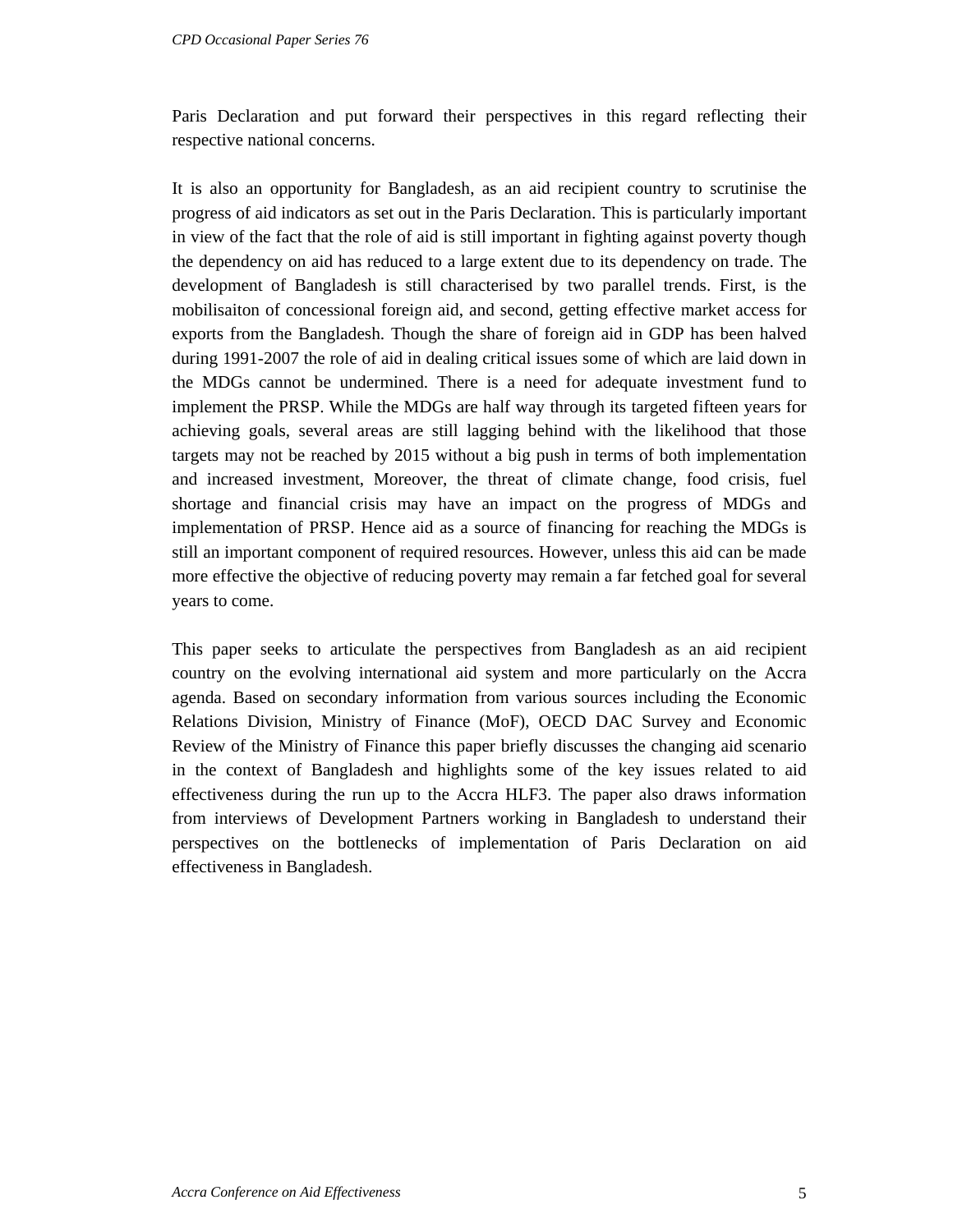Paris Declaration and put forward their perspectives in this regard reflecting their respective national concerns.

It is also an opportunity for Bangladesh, as an aid recipient country to scrutinise the progress of aid indicators as set out in the Paris Declaration. This is particularly important in view of the fact that the role of aid is still important in fighting against poverty though the dependency on aid has reduced to a large extent due to its dependency on trade. The development of Bangladesh is still characterised by two parallel trends. First, is the mobilisaiton of concessional foreign aid, and second, getting effective market access for exports from the Bangladesh. Though the share of foreign aid in GDP has been halved during 1991-2007 the role of aid in dealing critical issues some of which are laid down in the MDGs cannot be undermined. There is a need for adequate investment fund to implement the PRSP. While the MDGs are half way through its targeted fifteen years for achieving goals, several areas are still lagging behind with the likelihood that those targets may not be reached by 2015 without a big push in terms of both implementation and increased investment, Moreover, the threat of climate change, food crisis, fuel shortage and financial crisis may have an impact on the progress of MDGs and implementation of PRSP. Hence aid as a source of financing for reaching the MDGs is still an important component of required resources. However, unless this aid can be made more effective the objective of reducing poverty may remain a far fetched goal for several years to come.

This paper seeks to articulate the perspectives from Bangladesh as an aid recipient country on the evolving international aid system and more particularly on the Accra agenda. Based on secondary information from various sources including the Economic Relations Division, Ministry of Finance (MoF), OECD DAC Survey and Economic Review of the Ministry of Finance this paper briefly discusses the changing aid scenario in the context of Bangladesh and highlights some of the key issues related to aid effectiveness during the run up to the Accra HLF3. The paper also draws information from interviews of Development Partners working in Bangladesh to understand their perspectives on the bottlenecks of implementation of Paris Declaration on aid effectiveness in Bangladesh.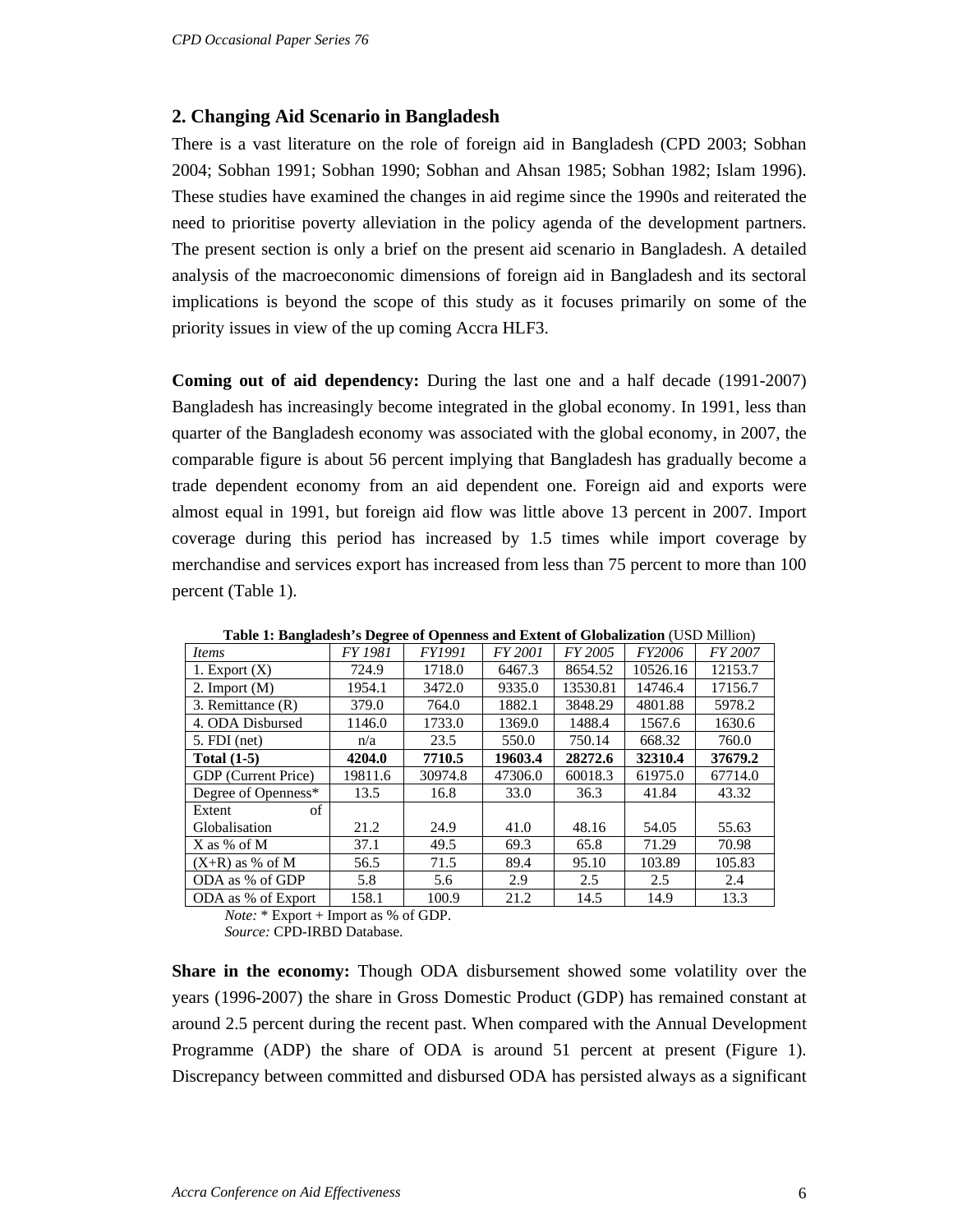#### **2. Changing Aid Scenario in Bangladesh**

There is a vast literature on the role of foreign aid in Bangladesh (CPD 2003; Sobhan 2004; Sobhan 1991; Sobhan 1990; Sobhan and Ahsan 1985; Sobhan 1982; Islam 1996). These studies have examined the changes in aid regime since the 1990s and reiterated the need to prioritise poverty alleviation in the policy agenda of the development partners. The present section is only a brief on the present aid scenario in Bangladesh. A detailed analysis of the macroeconomic dimensions of foreign aid in Bangladesh and its sectoral implications is beyond the scope of this study as it focuses primarily on some of the priority issues in view of the up coming Accra HLF3.

**Coming out of aid dependency:** During the last one and a half decade (1991-2007) Bangladesh has increasingly become integrated in the global economy. In 1991, less than quarter of the Bangladesh economy was associated with the global economy, in 2007, the comparable figure is about 56 percent implying that Bangladesh has gradually become a trade dependent economy from an aid dependent one. Foreign aid and exports were almost equal in 1991, but foreign aid flow was little above 13 percent in 2007. Import coverage during this period has increased by 1.5 times while import coverage by merchandise and services export has increased from less than 75 percent to more than 100 percent (Table 1).

| Items               | <b>FY 1981</b> | <b>FY1991</b> | FY 2001 | FY 2005  | FY2006   | FY 2007 |
|---------------------|----------------|---------------|---------|----------|----------|---------|
| 1. Export $(X)$     | 724.9          | 1718.0        | 6467.3  | 8654.52  | 10526.16 | 12153.7 |
| 2. Import $(M)$     | 1954.1         | 3472.0        | 9335.0  | 13530.81 | 14746.4  | 17156.7 |
| 3. Remittance (R)   | 379.0          | 764.0         | 1882.1  | 3848.29  | 4801.88  | 5978.2  |
| 4. ODA Disbursed    | 1146.0         | 1733.0        | 1369.0  | 1488.4   | 1567.6   | 1630.6  |
| $5. FDI$ (net)      | n/a            | 23.5          | 550.0   | 750.14   | 668.32   | 760.0   |
| Total $(1-5)$       | 4204.0         | 7710.5        | 19603.4 | 28272.6  | 32310.4  | 37679.2 |
| GDP (Current Price) | 19811.6        | 30974.8       | 47306.0 | 60018.3  | 61975.0  | 67714.0 |
| Degree of Openness* | 13.5           | 16.8          | 33.0    | 36.3     | 41.84    | 43.32   |
| of<br>Extent        |                |               |         |          |          |         |
| Globalisation       | 21.2           | 24.9          | 41.0    | 48.16    | 54.05    | 55.63   |
| $X$ as % of M       | 37.1           | 49.5          | 69.3    | 65.8     | 71.29    | 70.98   |
| $(X+R)$ as % of M   | 56.5           | 71.5          | 89.4    | 95.10    | 103.89   | 105.83  |
| ODA as % of GDP     | 5.8            | 5.6           | 2.9     | 2.5      | 2.5      | 2.4     |
| ODA as % of Export  | 158.1          | 100.9         | 21.2    | 14.5     | 14.9     | 13.3    |

**Table 1: Bangladesh's Degree of Openness and Extent of Globalization** (USD Million)

*Note:* \* Export + Import as % of GDP.

*Source:* CPD-IRBD Database.

**Share in the economy:** Though ODA disbursement showed some volatility over the years (1996-2007) the share in Gross Domestic Product (GDP) has remained constant at around 2.5 percent during the recent past. When compared with the Annual Development Programme (ADP) the share of ODA is around 51 percent at present (Figure 1). Discrepancy between committed and disbursed ODA has persisted always as a significant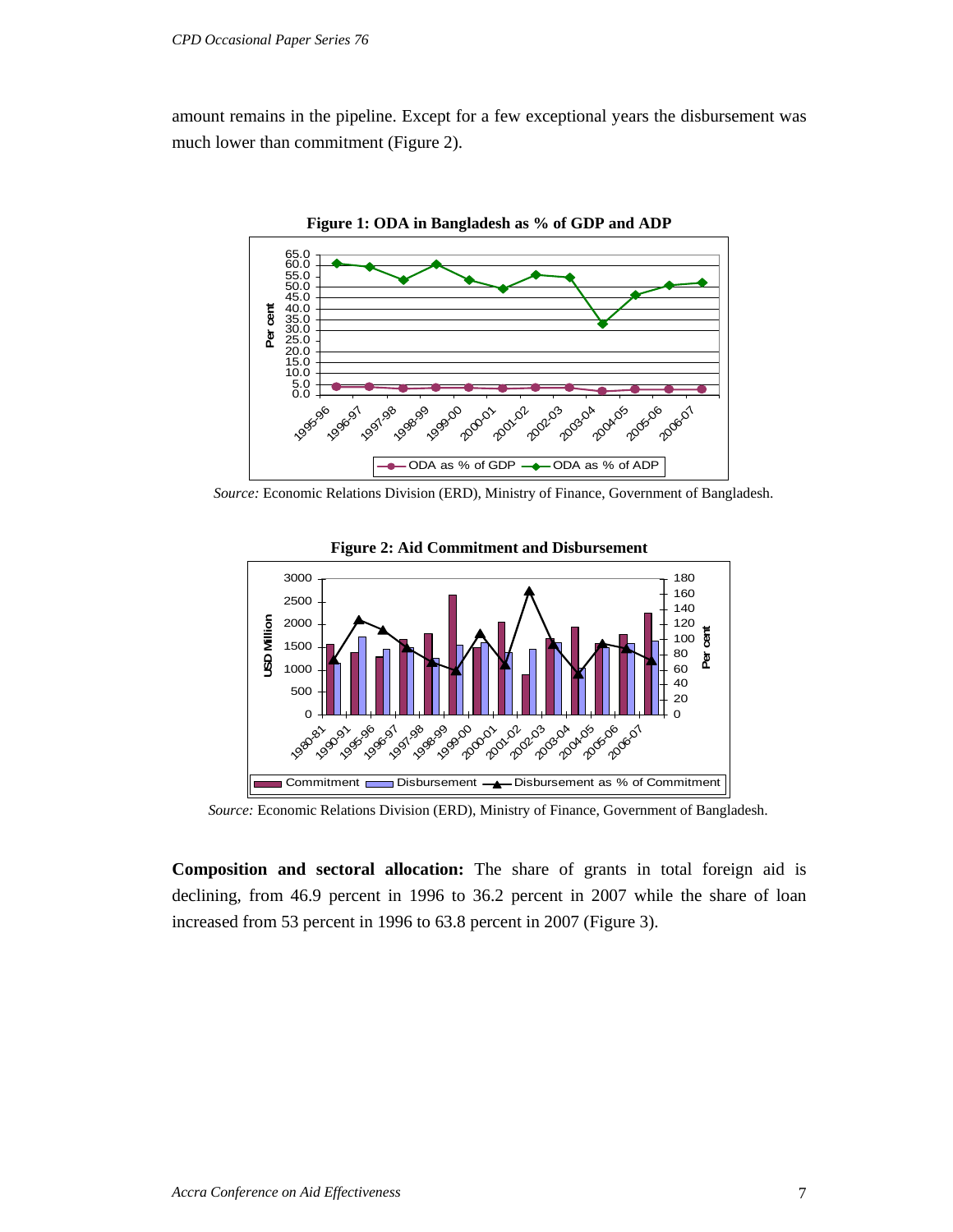amount remains in the pipeline. Except for a few exceptional years the disbursement was much lower than commitment (Figure 2).



*Source:* Economic Relations Division (ERD), Ministry of Finance, Government of Bangladesh.



**Figure 2: Aid Commitment and Disbursement** 

*Source:* Economic Relations Division (ERD), Ministry of Finance, Government of Bangladesh.

**Composition and sectoral allocation:** The share of grants in total foreign aid is declining, from 46.9 percent in 1996 to 36.2 percent in 2007 while the share of loan increased from 53 percent in 1996 to 63.8 percent in 2007 (Figure 3).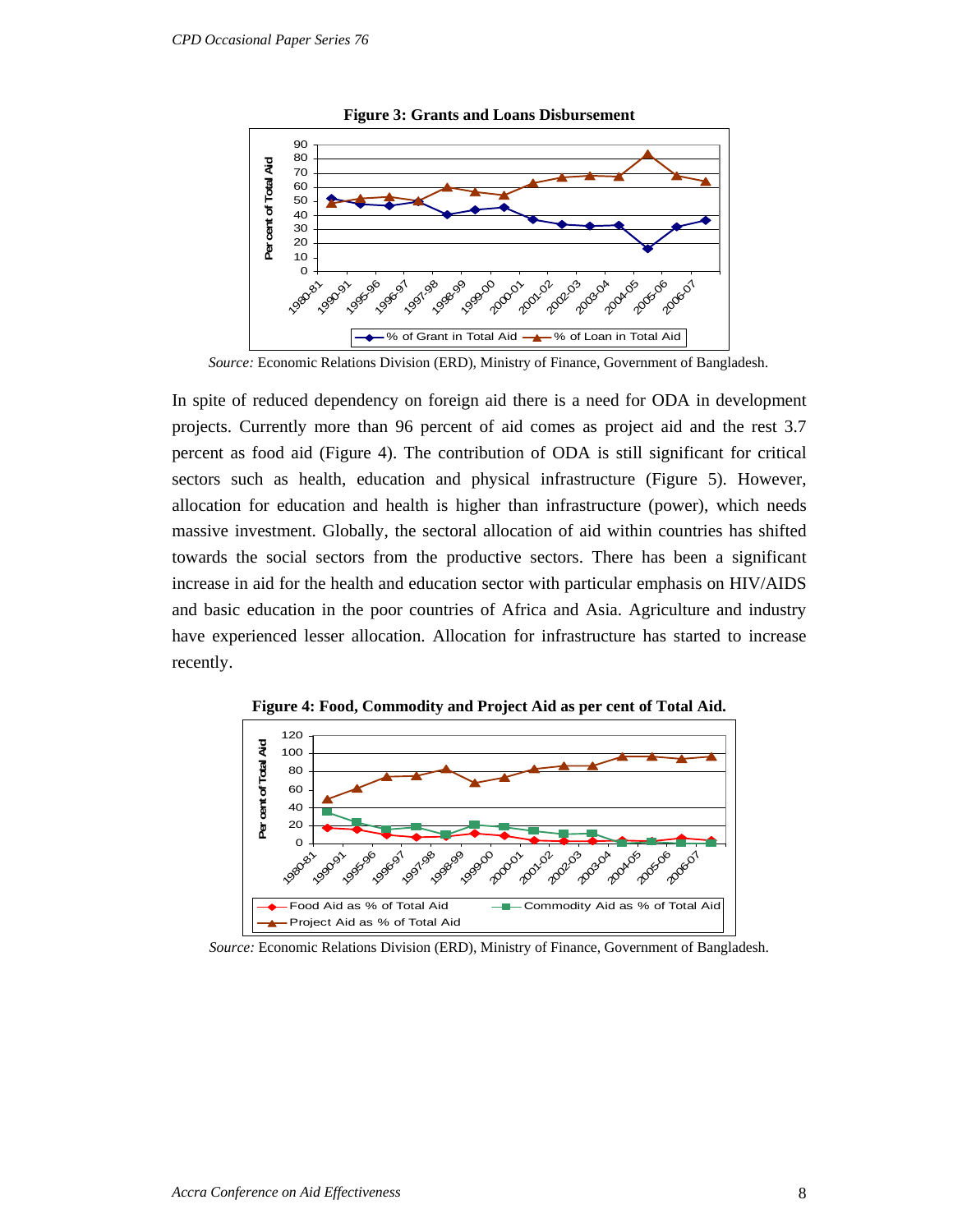

**Figure 3: Grants and Loans Disbursement** 

 *Source:* Economic Relations Division (ERD), Ministry of Finance, Government of Bangladesh.

In spite of reduced dependency on foreign aid there is a need for ODA in development projects. Currently more than 96 percent of aid comes as project aid and the rest 3.7 percent as food aid (Figure 4). The contribution of ODA is still significant for critical sectors such as health, education and physical infrastructure (Figure 5). However, allocation for education and health is higher than infrastructure (power), which needs massive investment. Globally, the sectoral allocation of aid within countries has shifted towards the social sectors from the productive sectors. There has been a significant increase in aid for the health and education sector with particular emphasis on HIV/AIDS and basic education in the poor countries of Africa and Asia. Agriculture and industry have experienced lesser allocation. Allocation for infrastructure has started to increase recently.



**Figure 4: Food, Commodity and Project Aid as per cent of Total Aid.** 

*Source:* Economic Relations Division (ERD), Ministry of Finance, Government of Bangladesh.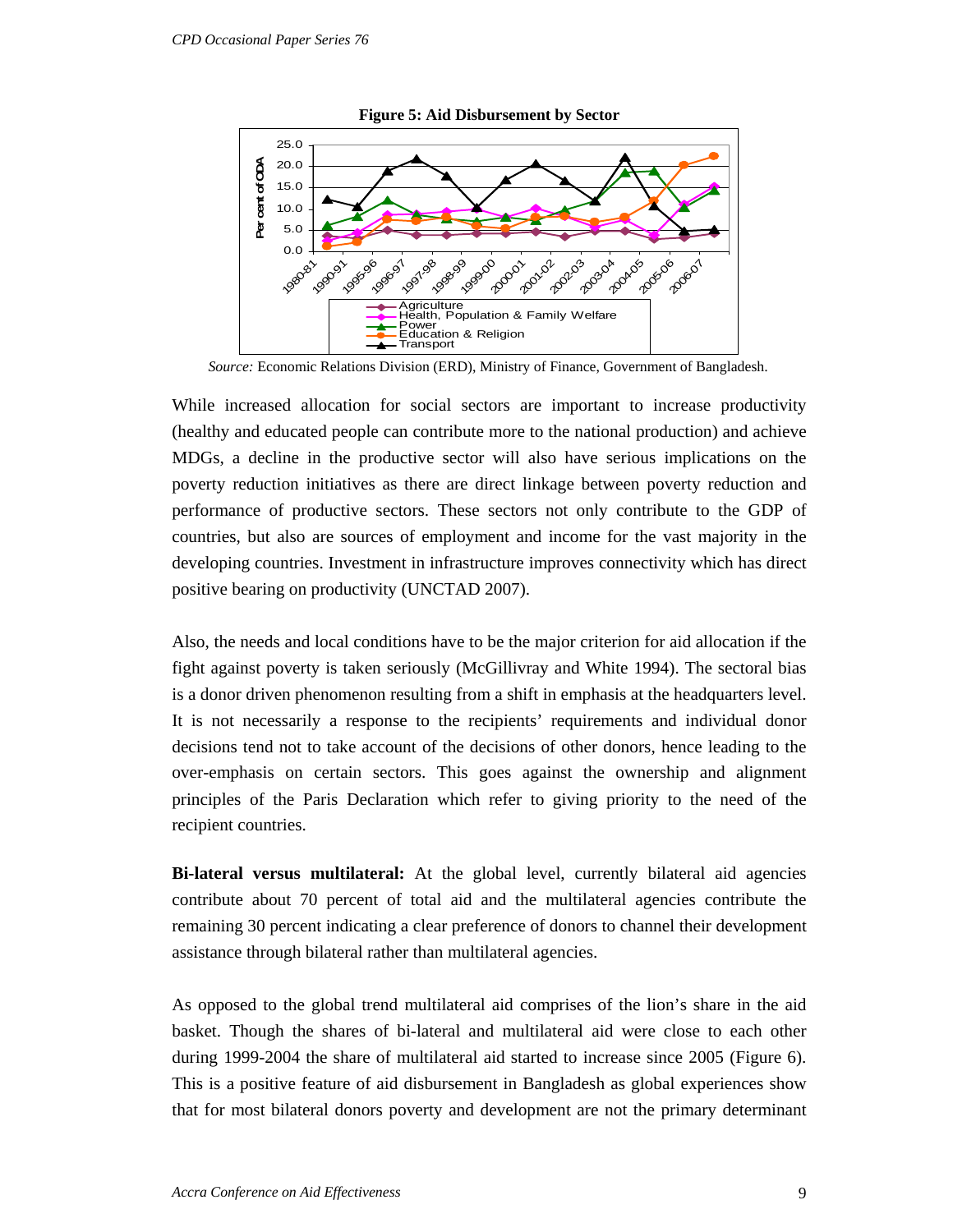

**Figure 5: Aid Disbursement by Sector** 

*Source:* Economic Relations Division (ERD), Ministry of Finance, Government of Bangladesh.

While increased allocation for social sectors are important to increase productivity (healthy and educated people can contribute more to the national production) and achieve MDGs, a decline in the productive sector will also have serious implications on the poverty reduction initiatives as there are direct linkage between poverty reduction and performance of productive sectors. These sectors not only contribute to the GDP of countries, but also are sources of employment and income for the vast majority in the developing countries. Investment in infrastructure improves connectivity which has direct positive bearing on productivity (UNCTAD 2007).

Also, the needs and local conditions have to be the major criterion for aid allocation if the fight against poverty is taken seriously (McGillivray and White 1994). The sectoral bias is a donor driven phenomenon resulting from a shift in emphasis at the headquarters level. It is not necessarily a response to the recipients' requirements and individual donor decisions tend not to take account of the decisions of other donors, hence leading to the over-emphasis on certain sectors. This goes against the ownership and alignment principles of the Paris Declaration which refer to giving priority to the need of the recipient countries.

**Bi-lateral versus multilateral:** At the global level, currently bilateral aid agencies contribute about 70 percent of total aid and the multilateral agencies contribute the remaining 30 percent indicating a clear preference of donors to channel their development assistance through bilateral rather than multilateral agencies.

As opposed to the global trend multilateral aid comprises of the lion's share in the aid basket. Though the shares of bi-lateral and multilateral aid were close to each other during 1999-2004 the share of multilateral aid started to increase since 2005 (Figure 6). This is a positive feature of aid disbursement in Bangladesh as global experiences show that for most bilateral donors poverty and development are not the primary determinant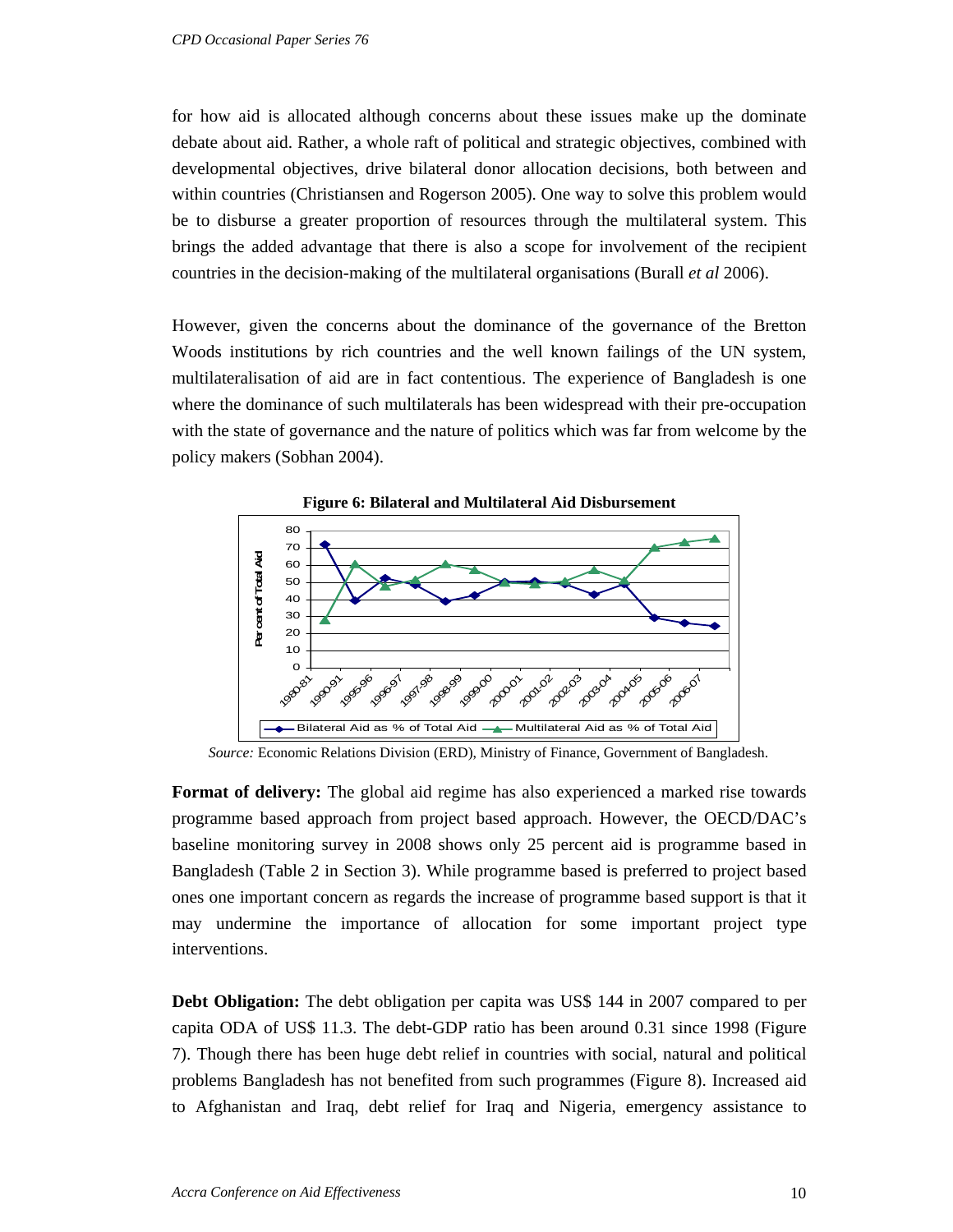for how aid is allocated although concerns about these issues make up the dominate debate about aid. Rather, a whole raft of political and strategic objectives, combined with developmental objectives, drive bilateral donor allocation decisions, both between and within countries (Christiansen and Rogerson 2005). One way to solve this problem would be to disburse a greater proportion of resources through the multilateral system. This brings the added advantage that there is also a scope for involvement of the recipient countries in the decision-making of the multilateral organisations (Burall *et al* 2006).

However, given the concerns about the dominance of the governance of the Bretton Woods institutions by rich countries and the well known failings of the UN system, multilateralisation of aid are in fact contentious. The experience of Bangladesh is one where the dominance of such multilaterals has been widespread with their pre-occupation with the state of governance and the nature of politics which was far from welcome by the policy makers (Sobhan 2004).



**Figure 6: Bilateral and Multilateral Aid Disbursement** 

*Source:* Economic Relations Division (ERD), Ministry of Finance, Government of Bangladesh.

**Format of delivery:** The global aid regime has also experienced a marked rise towards programme based approach from project based approach. However, the OECD/DAC's baseline monitoring survey in 2008 shows only 25 percent aid is programme based in Bangladesh (Table 2 in Section 3). While programme based is preferred to project based ones one important concern as regards the increase of programme based support is that it may undermine the importance of allocation for some important project type interventions.

**Debt Obligation:** The debt obligation per capita was US\$ 144 in 2007 compared to per capita ODA of US\$ 11.3. The debt-GDP ratio has been around 0.31 since 1998 (Figure 7). Though there has been huge debt relief in countries with social, natural and political problems Bangladesh has not benefited from such programmes (Figure 8). Increased aid to Afghanistan and Iraq, debt relief for Iraq and Nigeria, emergency assistance to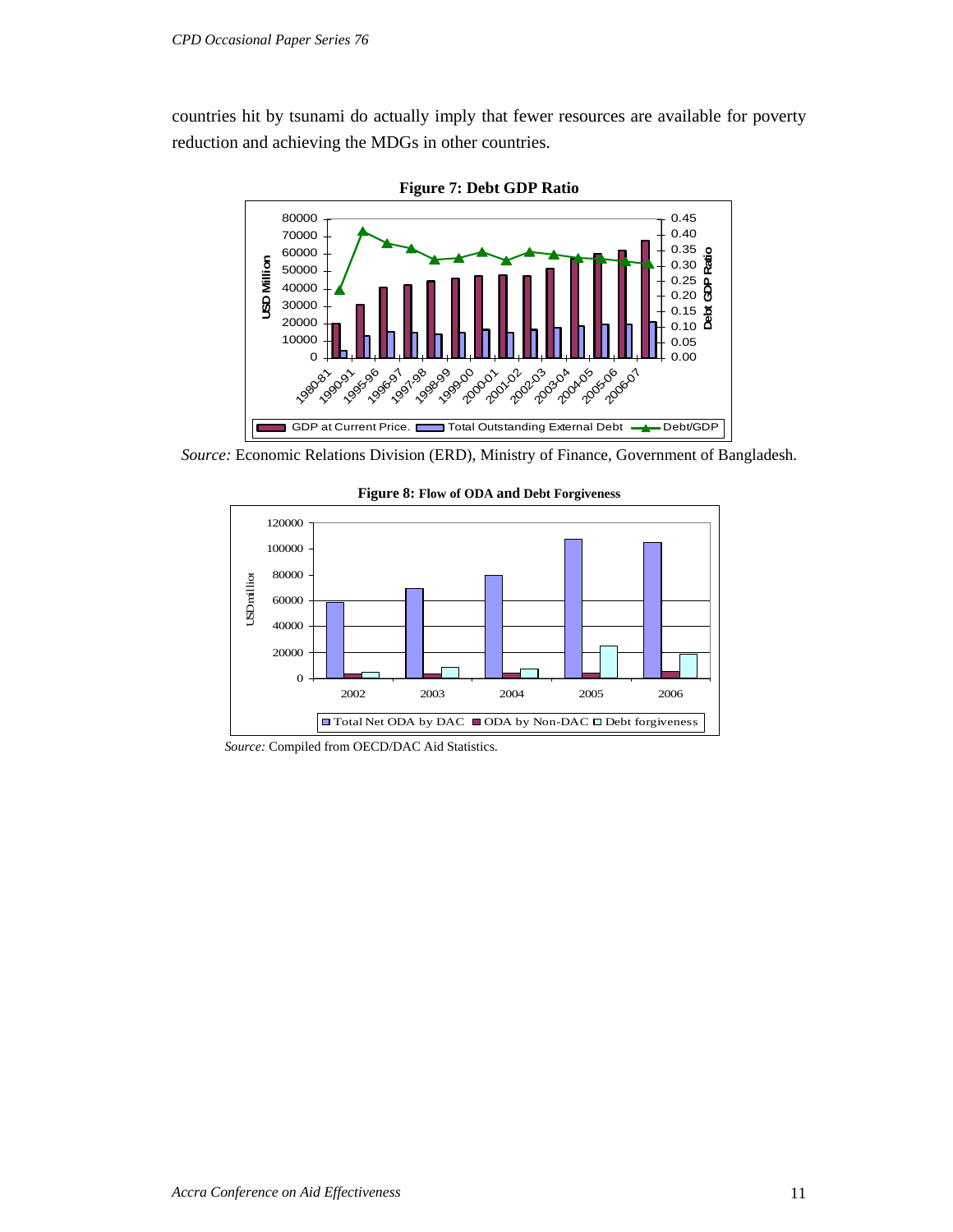countries hit by tsunami do actually imply that fewer resources are available for poverty reduction and achieving the MDGs in other countries.



**Figure 7: Debt GDP Ratio** 

 *Source:* Economic Relations Division (ERD), Ministry of Finance, Government of Bangladesh.



**Figure 8: Flow of ODA and Debt Forgiveness**

*Source:* Compiled from OECD/DAC Aid Statistics.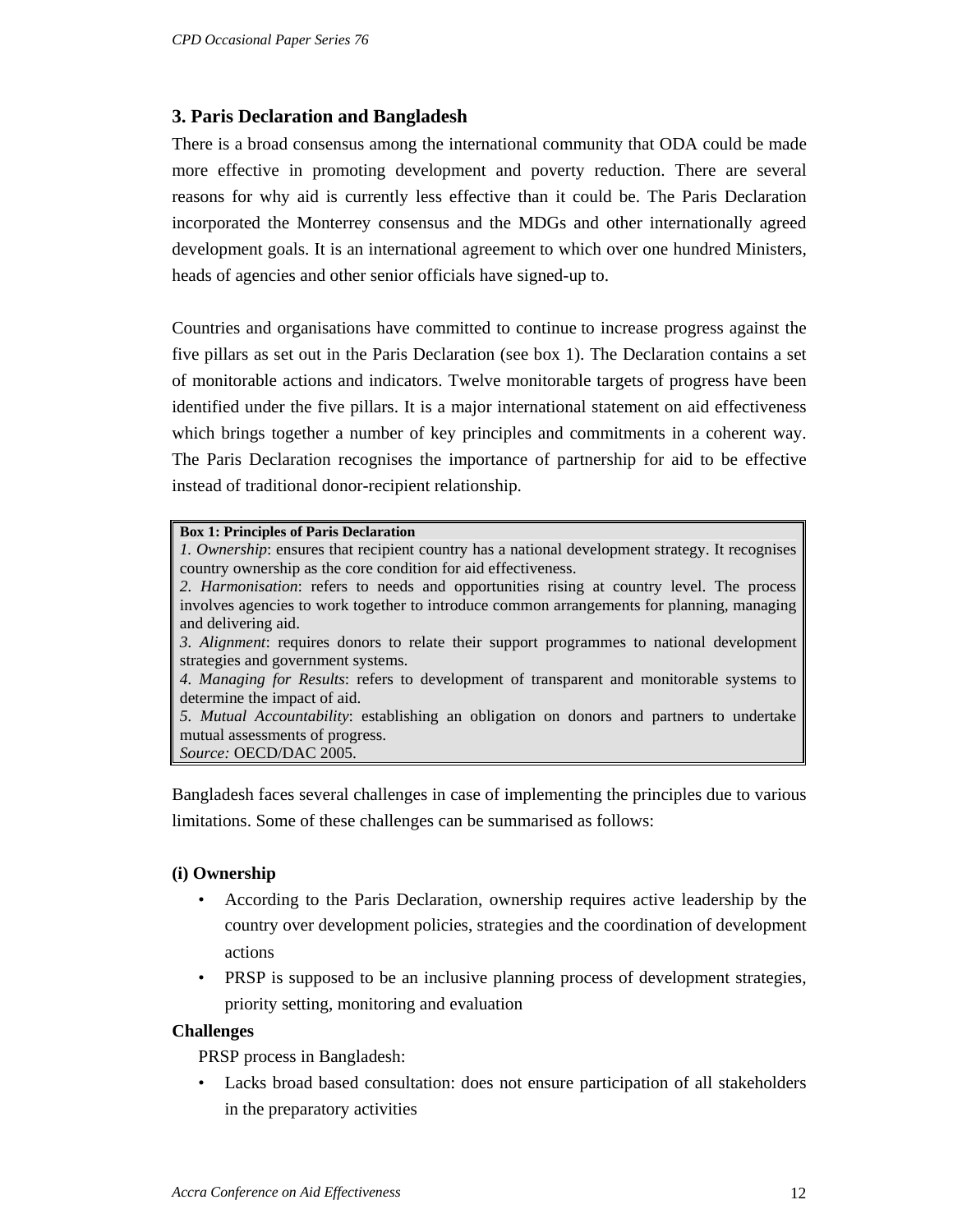## **3. Paris Declaration and Bangladesh**

There is a broad consensus among the international community that ODA could be made more effective in promoting development and poverty reduction. There are several reasons for why aid is currently less effective than it could be. The Paris Declaration incorporated the Monterrey consensus and the MDGs and other internationally agreed development goals. It is an international agreement to which over one hundred Ministers, heads of agencies and other senior officials have signed-up to.

Countries and organisations have committed to continue to increase progress against the five pillars as set out in the Paris Declaration (see box 1). The Declaration contains a set of monitorable actions and indicators. Twelve monitorable targets of progress have been identified under the five pillars. It is a major international statement on aid effectiveness which brings together a number of key principles and commitments in a coherent way. The Paris Declaration recognises the importance of partnership for aid to be effective instead of traditional donor-recipient relationship.

#### **Box 1: Principles of Paris Declaration**

*1. Ownership*: ensures that recipient country has a national development strategy. It recognises country ownership as the core condition for aid effectiveness.

*2. Harmonisation*: refers to needs and opportunities rising at country level. The process involves agencies to work together to introduce common arrangements for planning, managing and delivering aid.

*3. Alignment*: requires donors to relate their support programmes to national development strategies and government systems.

*4. Managing for Results*: refers to development of transparent and monitorable systems to determine the impact of aid.

*5. Mutual Accountability*: establishing an obligation on donors and partners to undertake mutual assessments of progress.

*Source:* OECD/DAC 2005.

Bangladesh faces several challenges in case of implementing the principles due to various limitations. Some of these challenges can be summarised as follows:

#### **(i) Ownership**

- According to the Paris Declaration, ownership requires active leadership by the country over development policies, strategies and the coordination of development actions
- PRSP is supposed to be an inclusive planning process of development strategies, priority setting, monitoring and evaluation

#### **Challenges**

PRSP process in Bangladesh:

• Lacks broad based consultation: does not ensure participation of all stakeholders in the preparatory activities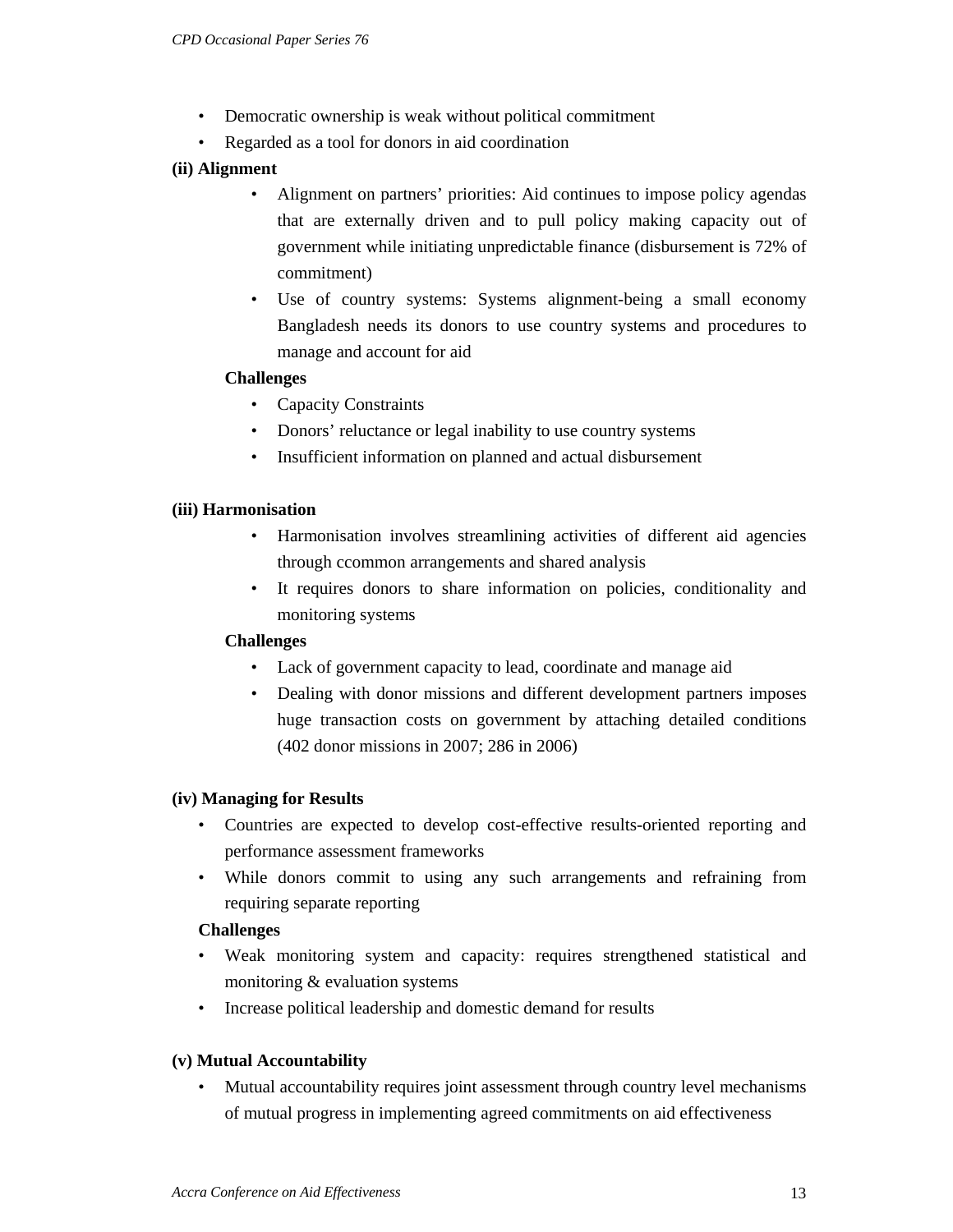- Democratic ownership is weak without political commitment
- Regarded as a tool for donors in aid coordination
- **(ii) Alignment** 
	- Alignment on partners' priorities: Aid continues to impose policy agendas that are externally driven and to pull policy making capacity out of government while initiating unpredictable finance (disbursement is 72% of commitment)
	- Use of country systems: Systems alignment-being a small economy Bangladesh needs its donors to use country systems and procedures to manage and account for aid

#### **Challenges**

- Capacity Constraints
- Donors' reluctance or legal inability to use country systems
- Insufficient information on planned and actual disbursement

#### **(iii) Harmonisation**

- Harmonisation involves streamlining activities of different aid agencies through ccommon arrangements and shared analysis
- It requires donors to share information on policies, conditionality and monitoring systems

#### **Challenges**

- Lack of government capacity to lead, coordinate and manage aid
- Dealing with donor missions and different development partners imposes huge transaction costs on government by attaching detailed conditions (402 donor missions in 2007; 286 in 2006)

#### **(iv) Managing for Results**

- Countries are expected to develop cost-effective results-oriented reporting and performance assessment frameworks
- While donors commit to using any such arrangements and refraining from requiring separate reporting

#### **Challenges**

- Weak monitoring system and capacity: requires strengthened statistical and monitoring & evaluation systems
- Increase political leadership and domestic demand for results

#### **(v) Mutual Accountability**

• Mutual accountability requires joint assessment through country level mechanisms of mutual progress in implementing agreed commitments on aid effectiveness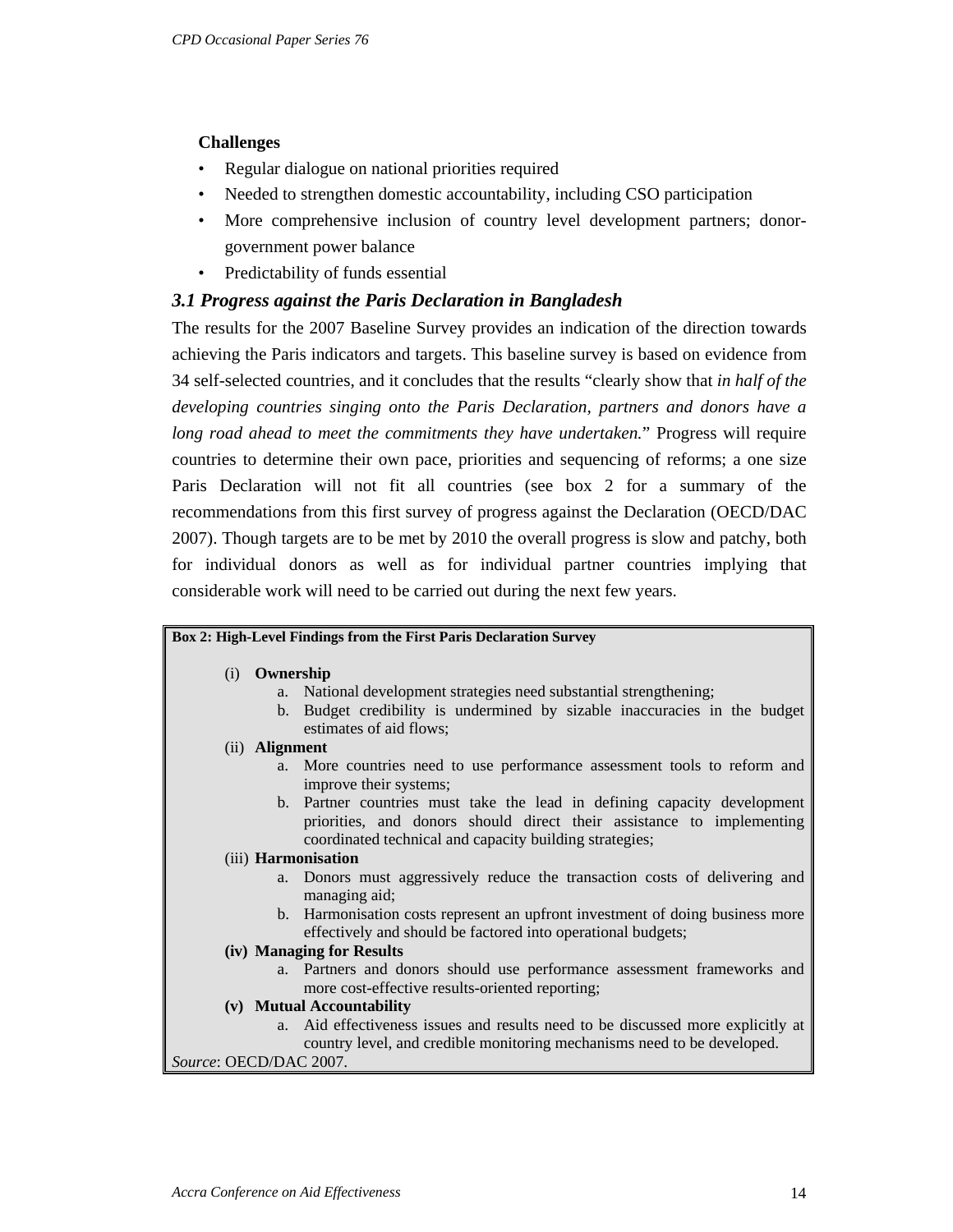## **Challenges**

- Regular dialogue on national priorities required
- Needed to strengthen domestic accountability, including CSO participation
- More comprehensive inclusion of country level development partners; donorgovernment power balance
- Predictability of funds essential

## *3.1 Progress against the Paris Declaration in Bangladesh*

The results for the 2007 Baseline Survey provides an indication of the direction towards achieving the Paris indicators and targets. This baseline survey is based on evidence from 34 self-selected countries, and it concludes that the results "clearly show that *in half of the developing countries singing onto the Paris Declaration, partners and donors have a long road ahead to meet the commitments they have undertaken.*" Progress will require countries to determine their own pace, priorities and sequencing of reforms; a one size Paris Declaration will not fit all countries (see box 2 for a summary of the recommendations from this first survey of progress against the Declaration (OECD/DAC 2007). Though targets are to be met by 2010 the overall progress is slow and patchy, both for individual donors as well as for individual partner countries implying that considerable work will need to be carried out during the next few years.

|                        | Box 2: High-Level Findings from the First Paris Declaration Survey                                                                                                                                           |
|------------------------|--------------------------------------------------------------------------------------------------------------------------------------------------------------------------------------------------------------|
| (i) Ownership          |                                                                                                                                                                                                              |
|                        | a. National development strategies need substantial strengthening;                                                                                                                                           |
|                        | b. Budget credibility is undermined by sizable inaccuracies in the budget<br>estimates of aid flows;                                                                                                         |
| (ii) <b>Alignment</b>  |                                                                                                                                                                                                              |
|                        | a. More countries need to use performance assessment tools to reform and<br>improve their systems;                                                                                                           |
|                        | b. Partner countries must take the lead in defining capacity development<br>priorities, and donors should direct their assistance to implementing<br>coordinated technical and capacity building strategies; |
|                        | (iii) Harmonisation                                                                                                                                                                                          |
|                        | a. Donors must aggressively reduce the transaction costs of delivering and<br>managing aid;                                                                                                                  |
|                        | b. Harmonisation costs represent an upfront investment of doing business more<br>effectively and should be factored into operational budgets;                                                                |
|                        | (iv) Managing for Results                                                                                                                                                                                    |
|                        | a. Partners and donors should use performance assessment frameworks and<br>more cost-effective results-oriented reporting;                                                                                   |
|                        | (v) Mutual Accountability                                                                                                                                                                                    |
|                        | a. Aid effectiveness issues and results need to be discussed more explicitly at<br>country level, and credible monitoring mechanisms need to be developed.                                                   |
| Source: OECD/DAC 2007. |                                                                                                                                                                                                              |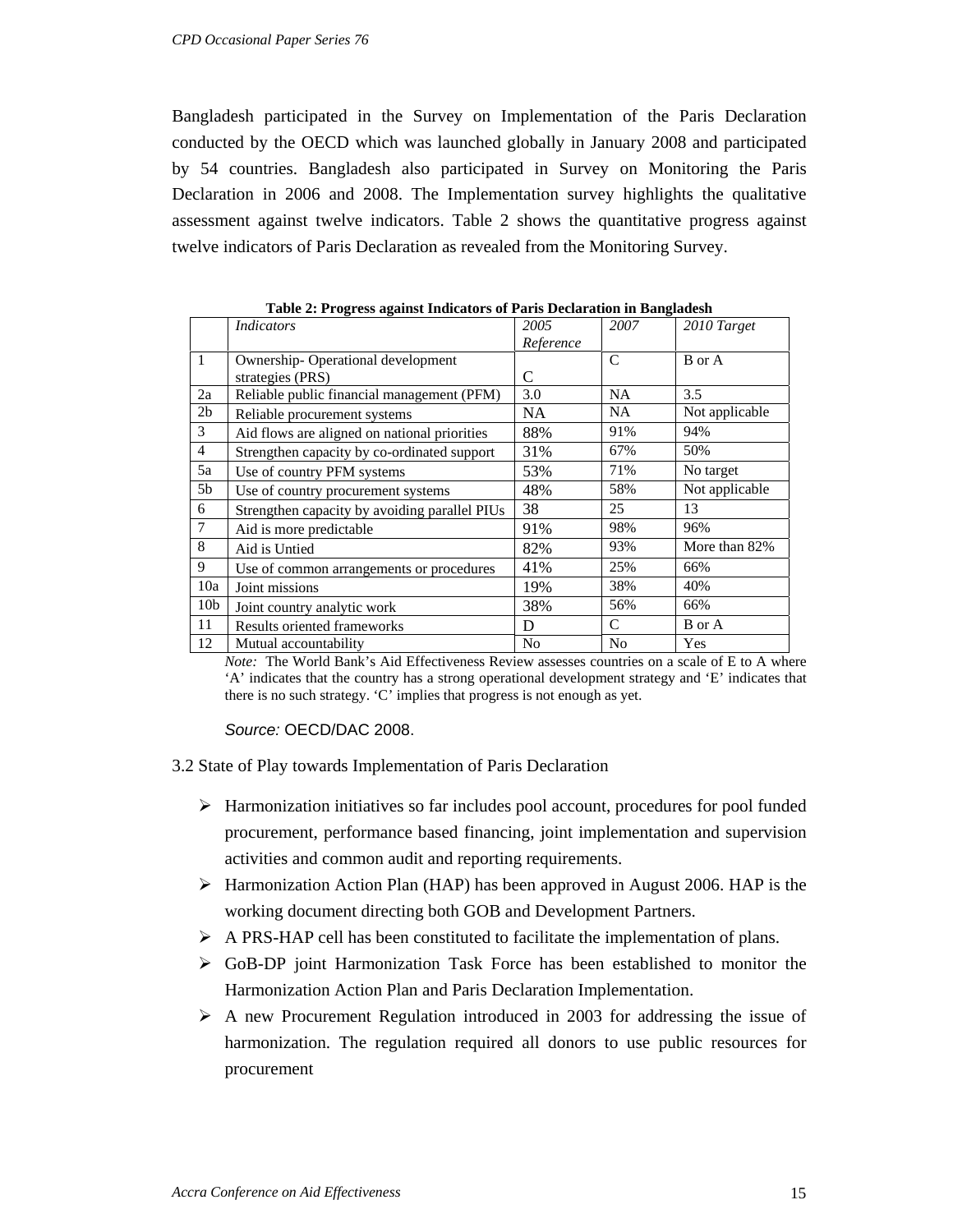Bangladesh participated in the Survey on Implementation of the Paris Declaration conducted by the OECD which was launched globally in January 2008 and participated by 54 countries. Bangladesh also participated in Survey on Monitoring the Paris Declaration in 2006 and 2008. The Implementation survey highlights the qualitative assessment against twelve indicators. Table 2 shows the quantitative progress against twelve indicators of Paris Declaration as revealed from the Monitoring Survey.

|                 |                                               | Table 2: Frogress against Indicators of Faris Deciatation in Dangiagesh |                |                |  |  |  |  |
|-----------------|-----------------------------------------------|-------------------------------------------------------------------------|----------------|----------------|--|--|--|--|
|                 | <i>Indicators</i>                             | 2005                                                                    | 2007           | 2010 Target    |  |  |  |  |
|                 |                                               | Reference                                                               |                |                |  |  |  |  |
| $\mathbf{1}$    | Ownership-Operational development             |                                                                         | C              | B or A         |  |  |  |  |
|                 | strategies (PRS)                              | C                                                                       |                |                |  |  |  |  |
| 2a              | Reliable public financial management (PFM)    | 3.0                                                                     | NA             | 3.5            |  |  |  |  |
| 2 <sub>b</sub>  | Reliable procurement systems                  | NA                                                                      | <b>NA</b>      | Not applicable |  |  |  |  |
| 3               | Aid flows are aligned on national priorities  | 88%                                                                     | 91%            | 94%            |  |  |  |  |
| $\overline{4}$  | Strengthen capacity by co-ordinated support   | 31%                                                                     | 67%            | 50%            |  |  |  |  |
| 5a              | Use of country PFM systems                    | 53%                                                                     | 71%            | No target      |  |  |  |  |
| 5 <sub>b</sub>  | Use of country procurement systems            | 48%                                                                     | 58%            | Not applicable |  |  |  |  |
| 6               | Strengthen capacity by avoiding parallel PIUs | 38                                                                      | 25             | 13             |  |  |  |  |
| $\tau$          | Aid is more predictable                       | 91%                                                                     | 98%            | 96%            |  |  |  |  |
| 8               | Aid is Untied                                 | 82%                                                                     | 93%            | More than 82%  |  |  |  |  |
| 9               | Use of common arrangements or procedures      | 41%                                                                     | 25%            | 66%            |  |  |  |  |
| 10a             | Joint missions                                | 19%                                                                     | 38%            | 40%            |  |  |  |  |
| 10 <sub>b</sub> | Joint country analytic work                   | 38%                                                                     | 56%            | 66%            |  |  |  |  |
| 11              | Results oriented frameworks                   | D                                                                       | $\mathcal{C}$  | B or A         |  |  |  |  |
| 12              | Mutual accountability                         | No                                                                      | N <sub>o</sub> | Yes            |  |  |  |  |

**Table 2: Progress against Indicators of Paris Declaration in Bangladesh** 

*Note:* The World Bank's Aid Effectiveness Review assesses countries on a scale of E to A where 'A' indicates that the country has a strong operational development strategy and 'E' indicates that there is no such strategy. 'C' implies that progress is not enough as yet.

*Source:* OECD/DAC 2008.

3.2 State of Play towards Implementation of Paris Declaration

- $\triangleright$  Harmonization initiatives so far includes pool account, procedures for pool funded procurement, performance based financing, joint implementation and supervision activities and common audit and reporting requirements.
- $\triangleright$  Harmonization Action Plan (HAP) has been approved in August 2006. HAP is the working document directing both GOB and Development Partners.
- $\triangleright$  A PRS-HAP cell has been constituted to facilitate the implementation of plans.
- $\triangleright$  GoB-DP joint Harmonization Task Force has been established to monitor the Harmonization Action Plan and Paris Declaration Implementation.
- $\triangleright$  A new Procurement Regulation introduced in 2003 for addressing the issue of harmonization. The regulation required all donors to use public resources for procurement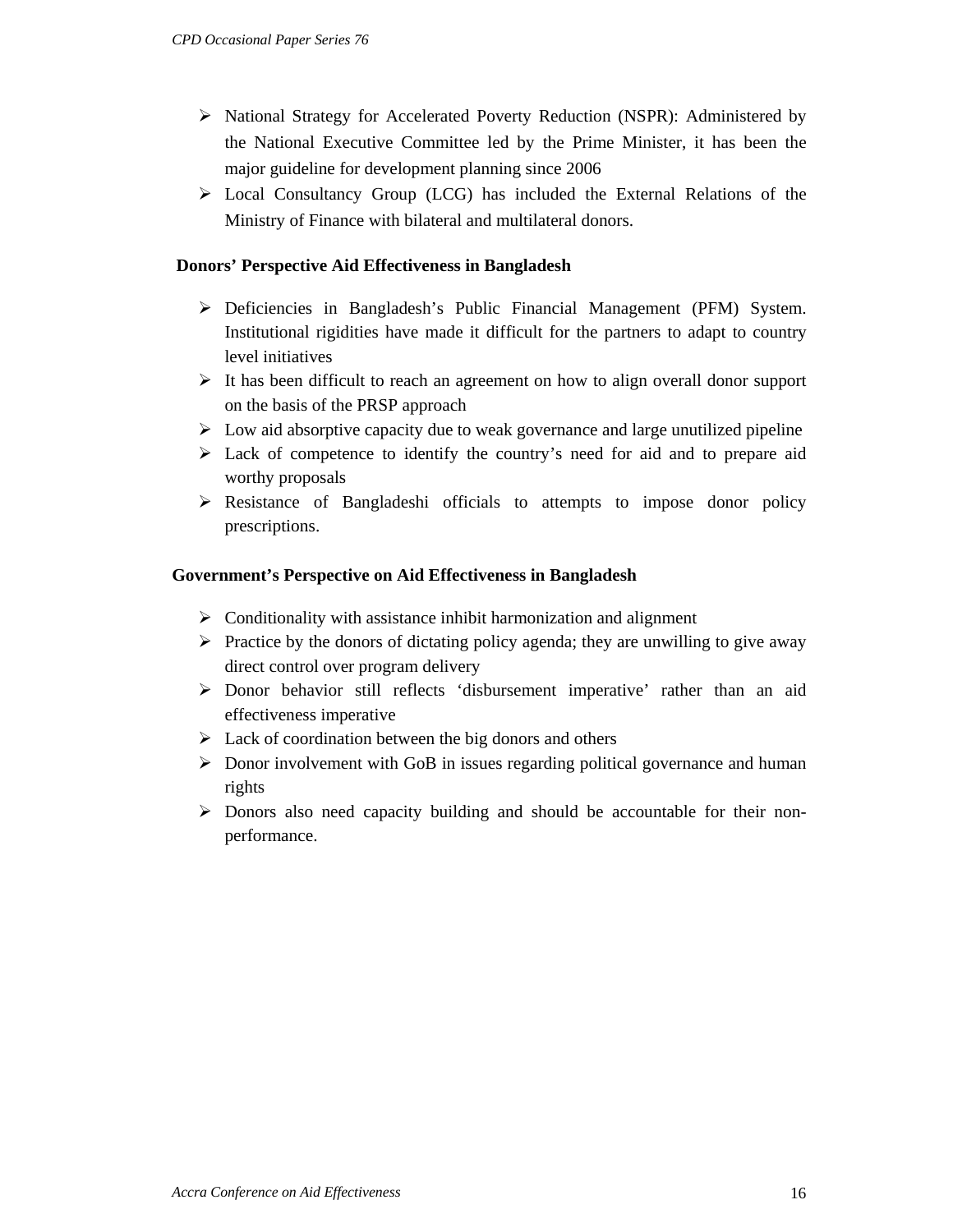- ¾ National Strategy for Accelerated Poverty Reduction (NSPR): Administered by the National Executive Committee led by the Prime Minister, it has been the major guideline for development planning since 2006
- $\triangleright$  Local Consultancy Group (LCG) has included the External Relations of the Ministry of Finance with bilateral and multilateral donors.

#### **Donors' Perspective Aid Effectiveness in Bangladesh**

- ¾ Deficiencies in Bangladesh's Public Financial Management (PFM) System. Institutional rigidities have made it difficult for the partners to adapt to country level initiatives
- $\triangleright$  It has been difficult to reach an agreement on how to align overall donor support on the basis of the PRSP approach
- $\triangleright$  Low aid absorptive capacity due to weak governance and large unutilized pipeline
- $\triangleright$  Lack of competence to identify the country's need for aid and to prepare aid worthy proposals
- $\triangleright$  Resistance of Bangladeshi officials to attempts to impose donor policy prescriptions.

#### **Government's Perspective on Aid Effectiveness in Bangladesh**

- $\triangleright$  Conditionality with assistance inhibit harmonization and alignment
- $\triangleright$  Practice by the donors of dictating policy agenda; they are unwilling to give away direct control over program delivery
- $\triangleright$  Donor behavior still reflects 'disbursement imperative' rather than an aid effectiveness imperative
- $\triangleright$  Lack of coordination between the big donors and others
- $\triangleright$  Donor involvement with GoB in issues regarding political governance and human rights
- ¾ Donors also need capacity building and should be accountable for their nonperformance.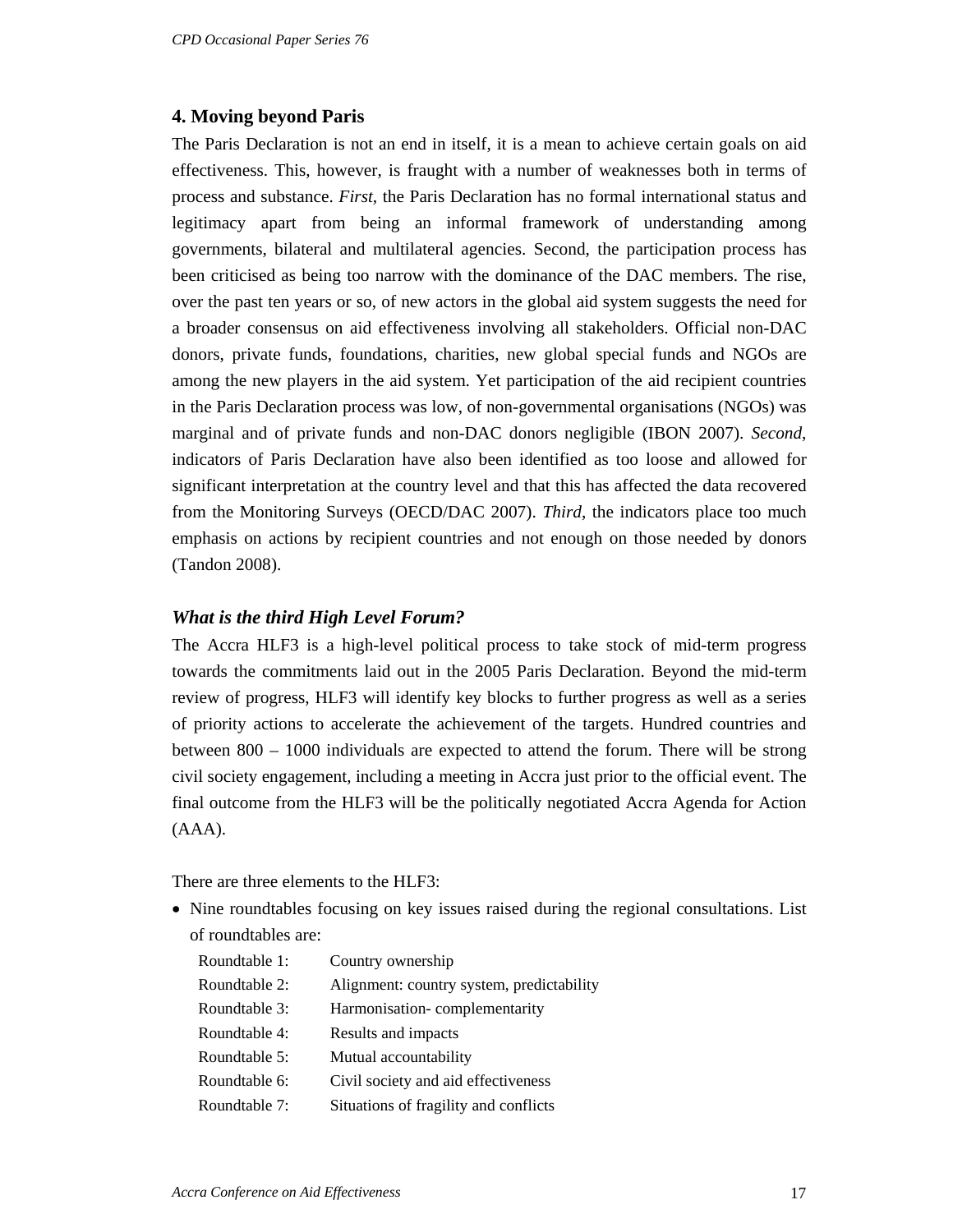#### **4. Moving beyond Paris**

The Paris Declaration is not an end in itself, it is a mean to achieve certain goals on aid effectiveness. This, however, is fraught with a number of weaknesses both in terms of process and substance. *First*, the Paris Declaration has no formal international status and legitimacy apart from being an informal framework of understanding among governments, bilateral and multilateral agencies. Second, the participation process has been criticised as being too narrow with the dominance of the DAC members. The rise, over the past ten years or so, of new actors in the global aid system suggests the need for a broader consensus on aid effectiveness involving all stakeholders. Official non-DAC donors, private funds, foundations, charities, new global special funds and NGOs are among the new players in the aid system. Yet participation of the aid recipient countries in the Paris Declaration process was low, of non-governmental organisations (NGOs) was marginal and of private funds and non-DAC donors negligible (IBON 2007). *Second*, indicators of Paris Declaration have also been identified as too loose and allowed for significant interpretation at the country level and that this has affected the data recovered from the Monitoring Surveys (OECD/DAC 2007). *Third*, the indicators place too much emphasis on actions by recipient countries and not enough on those needed by donors (Tandon 2008).

#### *What is the third High Level Forum?*

The Accra HLF3 is a high-level political process to take stock of mid-term progress towards the commitments laid out in the 2005 Paris Declaration. Beyond the mid-term review of progress, HLF3 will identify key blocks to further progress as well as a series of priority actions to accelerate the achievement of the targets. Hundred countries and between 800 – 1000 individuals are expected to attend the forum. There will be strong civil society engagement, including a meeting in Accra just prior to the official event. The final outcome from the HLF3 will be the politically negotiated Accra Agenda for Action (AAA).

There are three elements to the HLF3:

• Nine roundtables focusing on key issues raised during the regional consultations. List of roundtables are:

| Roundtable 1: | Country ownership                         |
|---------------|-------------------------------------------|
| Roundtable 2: | Alignment: country system, predictability |
| Roundtable 3: | Harmonisation-complementarity             |
| Roundtable 4: | Results and impacts                       |
| Roundtable 5: | Mutual accountability                     |
| Roundtable 6: | Civil society and aid effectiveness       |
| Roundtable 7: | Situations of fragility and conflicts     |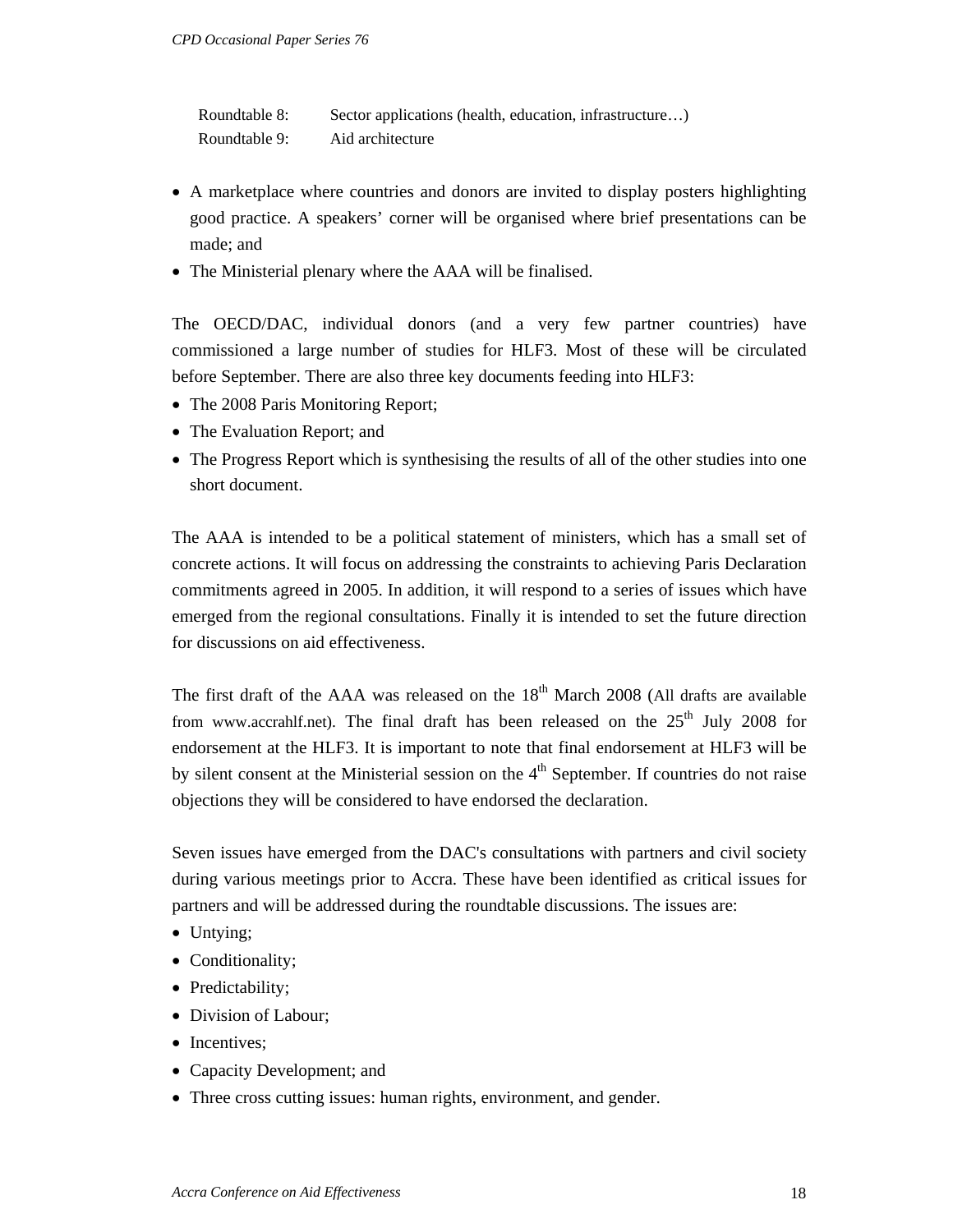Roundtable 8: Sector applications (health, education, infrastructure...) Roundtable 9: Aid architecture

- A marketplace where countries and donors are invited to display posters highlighting good practice. A speakers' corner will be organised where brief presentations can be made; and
- The Ministerial plenary where the AAA will be finalised.

The OECD/DAC, individual donors (and a very few partner countries) have commissioned a large number of studies for HLF3. Most of these will be circulated before September. There are also three key documents feeding into HLF3:

- The 2008 Paris Monitoring Report;
- The Evaluation Report; and
- The Progress Report which is synthesising the results of all of the other studies into one short document.

The AAA is intended to be a political statement of ministers, which has a small set of concrete actions. It will focus on addressing the constraints to achieving Paris Declaration commitments agreed in 2005. In addition, it will respond to a series of issues which have emerged from the regional consultations. Finally it is intended to set the future direction for discussions on aid effectiveness.

The first draft of the AAA was released on the  $18<sup>th</sup>$  March 2008 (All drafts are available from www.accrahlf.net). The final draft has been released on the  $25<sup>th</sup>$  July 2008 for endorsement at the HLF3. It is important to note that final endorsement at HLF3 will be by silent consent at the Ministerial session on the  $4<sup>th</sup>$  September. If countries do not raise objections they will be considered to have endorsed the declaration.

Seven issues have emerged from the DAC's consultations with partners and civil society during various meetings prior to Accra. These have been identified as critical issues for partners and will be addressed during the roundtable discussions. The issues are:

- Untying;
- Conditionality;
- Predictability;
- Division of Labour;
- Incentives;
- Capacity Development; and
- Three cross cutting issues: human rights, environment, and gender.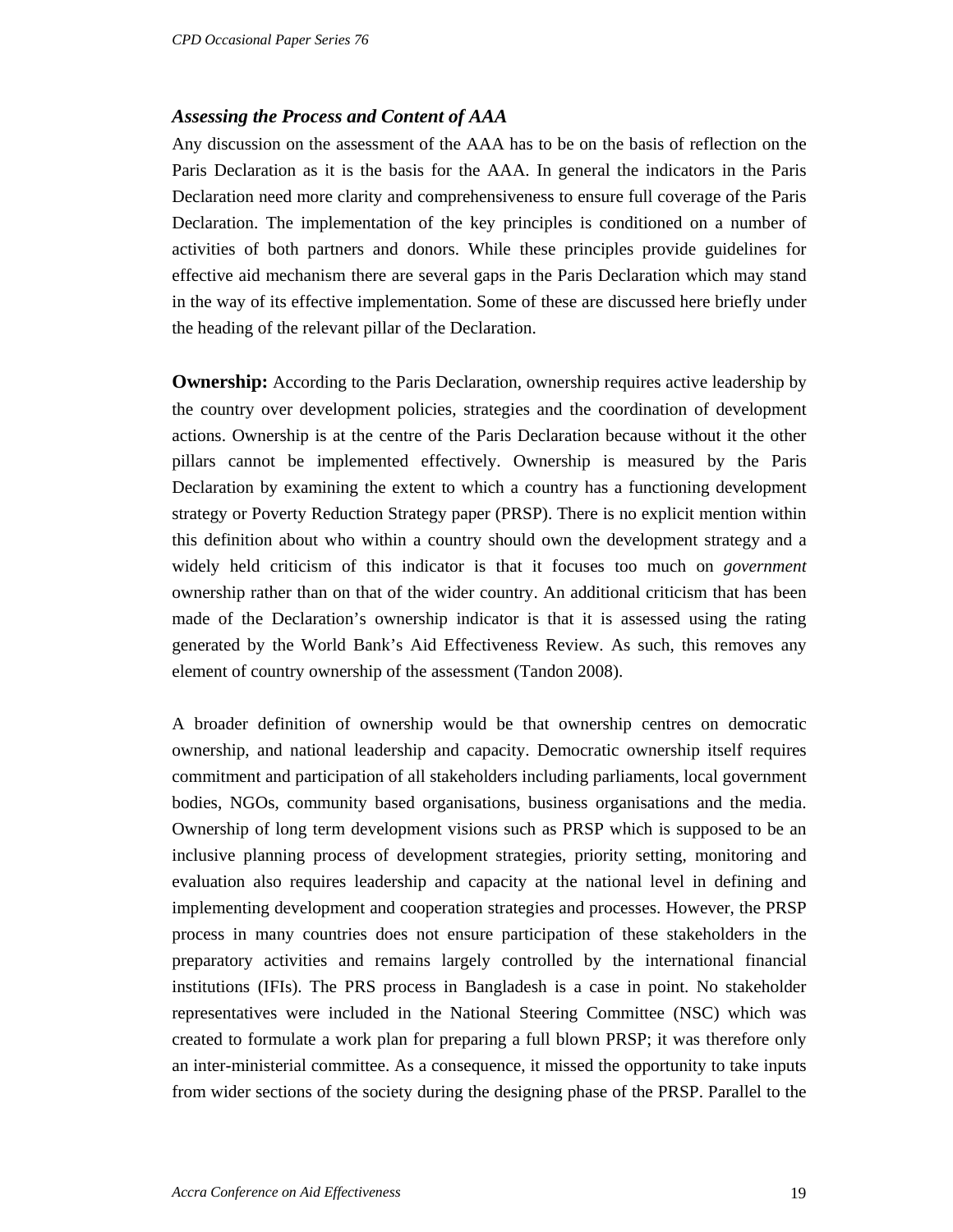### *Assessing the Process and Content of AAA*

Any discussion on the assessment of the AAA has to be on the basis of reflection on the Paris Declaration as it is the basis for the AAA. In general the indicators in the Paris Declaration need more clarity and comprehensiveness to ensure full coverage of the Paris Declaration. The implementation of the key principles is conditioned on a number of activities of both partners and donors. While these principles provide guidelines for effective aid mechanism there are several gaps in the Paris Declaration which may stand in the way of its effective implementation. Some of these are discussed here briefly under the heading of the relevant pillar of the Declaration.

**Ownership:** According to the Paris Declaration, ownership requires active leadership by the country over development policies, strategies and the coordination of development actions. Ownership is at the centre of the Paris Declaration because without it the other pillars cannot be implemented effectively. Ownership is measured by the Paris Declaration by examining the extent to which a country has a functioning development strategy or Poverty Reduction Strategy paper (PRSP). There is no explicit mention within this definition about who within a country should own the development strategy and a widely held criticism of this indicator is that it focuses too much on *government* ownership rather than on that of the wider country. An additional criticism that has been made of the Declaration's ownership indicator is that it is assessed using the rating generated by the World Bank's Aid Effectiveness Review. As such, this removes any element of country ownership of the assessment (Tandon 2008).

A broader definition of ownership would be that ownership centres on democratic ownership, and national leadership and capacity. Democratic ownership itself requires commitment and participation of all stakeholders including parliaments, local government bodies, NGOs, community based organisations, business organisations and the media. Ownership of long term development visions such as PRSP which is supposed to be an inclusive planning process of development strategies, priority setting, monitoring and evaluation also requires leadership and capacity at the national level in defining and implementing development and cooperation strategies and processes. However, the PRSP process in many countries does not ensure participation of these stakeholders in the preparatory activities and remains largely controlled by the international financial institutions (IFIs). The PRS process in Bangladesh is a case in point. No stakeholder representatives were included in the National Steering Committee (NSC) which was created to formulate a work plan for preparing a full blown PRSP; it was therefore only an inter-ministerial committee. As a consequence, it missed the opportunity to take inputs from wider sections of the society during the designing phase of the PRSP. Parallel to the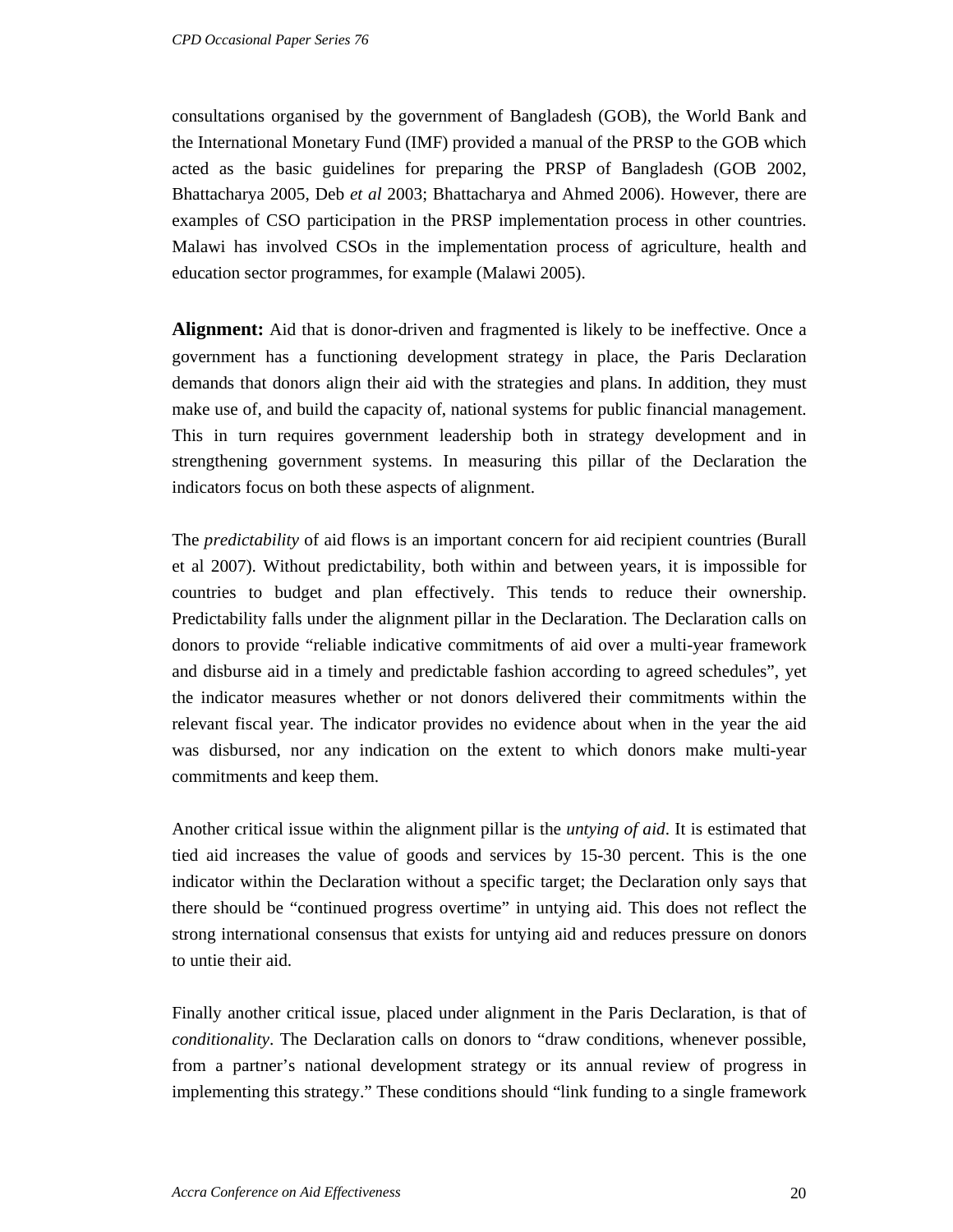consultations organised by the government of Bangladesh (GOB), the World Bank and the International Monetary Fund (IMF) provided a manual of the PRSP to the GOB which acted as the basic guidelines for preparing the PRSP of Bangladesh (GOB 2002, Bhattacharya 2005, Deb *et al* 2003; Bhattacharya and Ahmed 2006). However, there are examples of CSO participation in the PRSP implementation process in other countries. Malawi has involved CSOs in the implementation process of agriculture, health and education sector programmes, for example (Malawi 2005).

**Alignment:** Aid that is donor-driven and fragmented is likely to be ineffective. Once a government has a functioning development strategy in place, the Paris Declaration demands that donors align their aid with the strategies and plans. In addition, they must make use of, and build the capacity of, national systems for public financial management. This in turn requires government leadership both in strategy development and in strengthening government systems. In measuring this pillar of the Declaration the indicators focus on both these aspects of alignment.

The *predictability* of aid flows is an important concern for aid recipient countries (Burall et al 2007). Without predictability, both within and between years, it is impossible for countries to budget and plan effectively. This tends to reduce their ownership. Predictability falls under the alignment pillar in the Declaration. The Declaration calls on donors to provide "reliable indicative commitments of aid over a multi-year framework and disburse aid in a timely and predictable fashion according to agreed schedules", yet the indicator measures whether or not donors delivered their commitments within the relevant fiscal year. The indicator provides no evidence about when in the year the aid was disbursed, nor any indication on the extent to which donors make multi-year commitments and keep them.

Another critical issue within the alignment pillar is the *untying of aid*. It is estimated that tied aid increases the value of goods and services by 15-30 percent. This is the one indicator within the Declaration without a specific target; the Declaration only says that there should be "continued progress overtime" in untying aid. This does not reflect the strong international consensus that exists for untying aid and reduces pressure on donors to untie their aid.

Finally another critical issue, placed under alignment in the Paris Declaration, is that of *conditionality*. The Declaration calls on donors to "draw conditions, whenever possible, from a partner's national development strategy or its annual review of progress in implementing this strategy." These conditions should "link funding to a single framework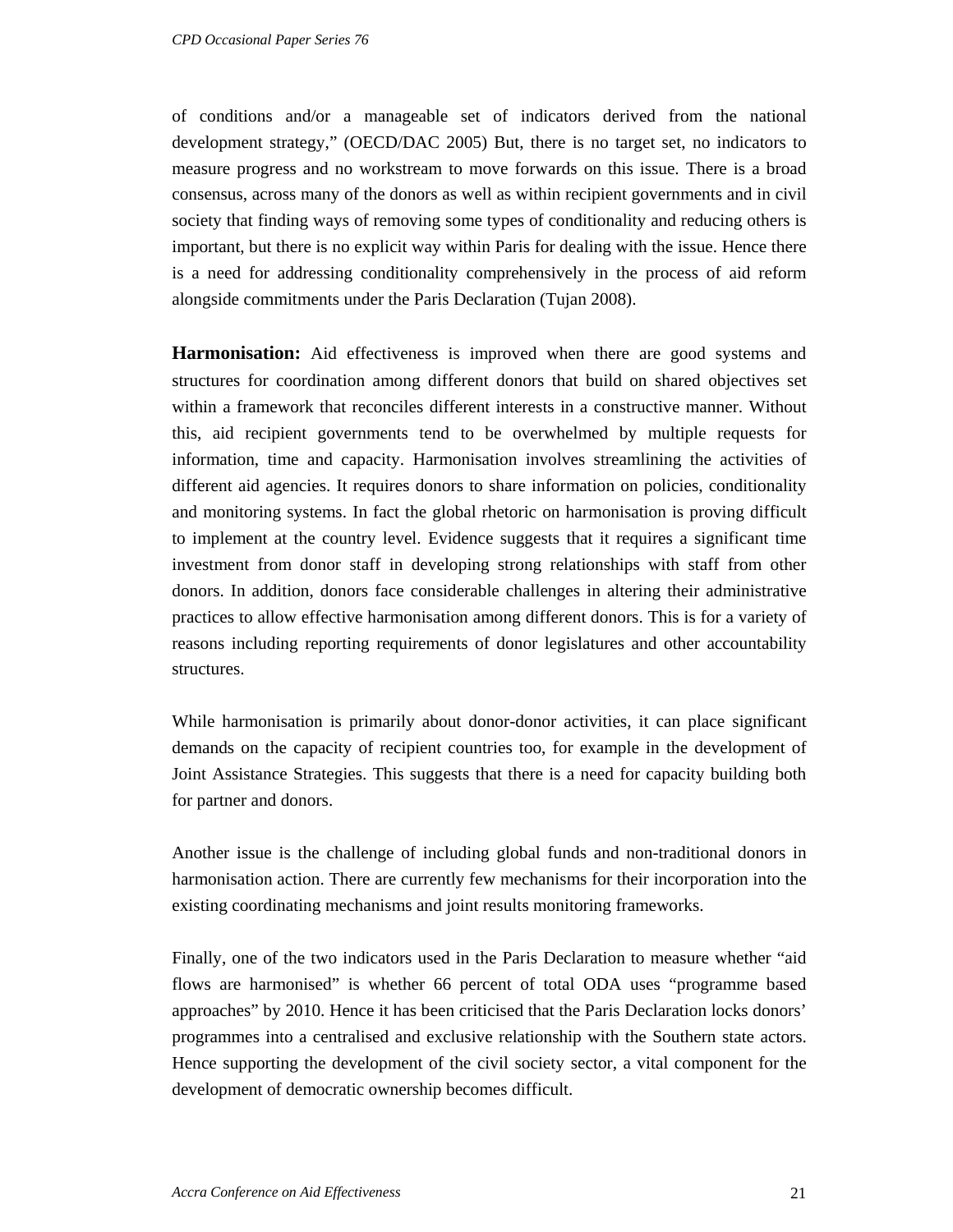of conditions and/or a manageable set of indicators derived from the national development strategy," (OECD/DAC 2005) But, there is no target set, no indicators to measure progress and no workstream to move forwards on this issue. There is a broad consensus, across many of the donors as well as within recipient governments and in civil society that finding ways of removing some types of conditionality and reducing others is important, but there is no explicit way within Paris for dealing with the issue. Hence there is a need for addressing conditionality comprehensively in the process of aid reform alongside commitments under the Paris Declaration (Tujan 2008).

**Harmonisation:** Aid effectiveness is improved when there are good systems and structures for coordination among different donors that build on shared objectives set within a framework that reconciles different interests in a constructive manner. Without this, aid recipient governments tend to be overwhelmed by multiple requests for information, time and capacity. Harmonisation involves streamlining the activities of different aid agencies. It requires donors to share information on policies, conditionality and monitoring systems. In fact the global rhetoric on harmonisation is proving difficult to implement at the country level. Evidence suggests that it requires a significant time investment from donor staff in developing strong relationships with staff from other donors. In addition, donors face considerable challenges in altering their administrative practices to allow effective harmonisation among different donors. This is for a variety of reasons including reporting requirements of donor legislatures and other accountability structures.

While harmonisation is primarily about donor-donor activities, it can place significant demands on the capacity of recipient countries too, for example in the development of Joint Assistance Strategies. This suggests that there is a need for capacity building both for partner and donors.

Another issue is the challenge of including global funds and non-traditional donors in harmonisation action. There are currently few mechanisms for their incorporation into the existing coordinating mechanisms and joint results monitoring frameworks.

Finally, one of the two indicators used in the Paris Declaration to measure whether "aid flows are harmonised" is whether 66 percent of total ODA uses "programme based approaches" by 2010. Hence it has been criticised that the Paris Declaration locks donors' programmes into a centralised and exclusive relationship with the Southern state actors. Hence supporting the development of the civil society sector, a vital component for the development of democratic ownership becomes difficult.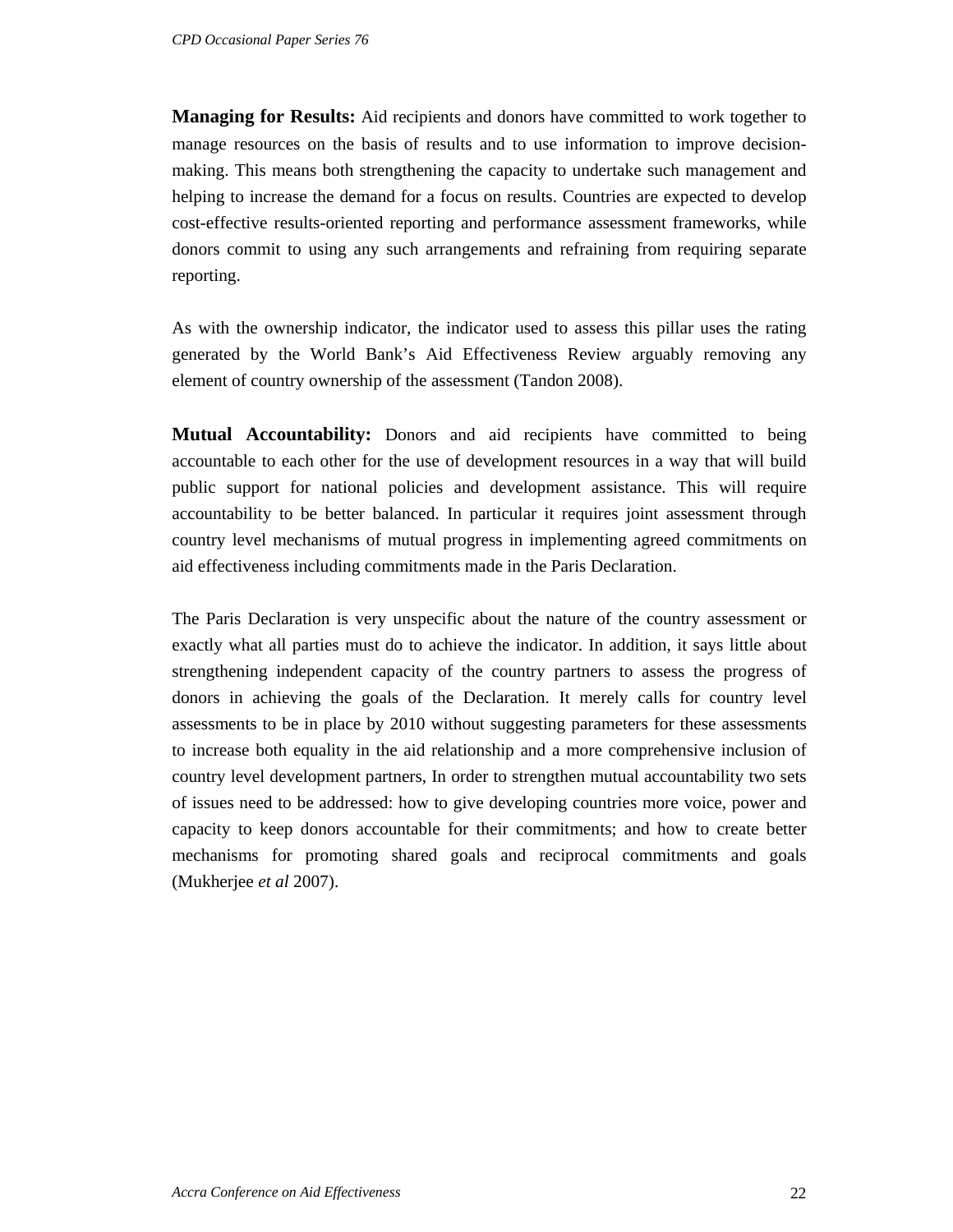**Managing for Results:** Aid recipients and donors have committed to work together to manage resources on the basis of results and to use information to improve decisionmaking. This means both strengthening the capacity to undertake such management and helping to increase the demand for a focus on results. Countries are expected to develop cost-effective results-oriented reporting and performance assessment frameworks, while donors commit to using any such arrangements and refraining from requiring separate reporting.

As with the ownership indicator, the indicator used to assess this pillar uses the rating generated by the World Bank's Aid Effectiveness Review arguably removing any element of country ownership of the assessment (Tandon 2008).

**Mutual Accountability:** Donors and aid recipients have committed to being accountable to each other for the use of development resources in a way that will build public support for national policies and development assistance. This will require accountability to be better balanced. In particular it requires joint assessment through country level mechanisms of mutual progress in implementing agreed commitments on aid effectiveness including commitments made in the Paris Declaration.

The Paris Declaration is very unspecific about the nature of the country assessment or exactly what all parties must do to achieve the indicator. In addition, it says little about strengthening independent capacity of the country partners to assess the progress of donors in achieving the goals of the Declaration. It merely calls for country level assessments to be in place by 2010 without suggesting parameters for these assessments to increase both equality in the aid relationship and a more comprehensive inclusion of country level development partners, In order to strengthen mutual accountability two sets of issues need to be addressed: how to give developing countries more voice, power and capacity to keep donors accountable for their commitments; and how to create better mechanisms for promoting shared goals and reciprocal commitments and goals (Mukherjee *et al* 2007).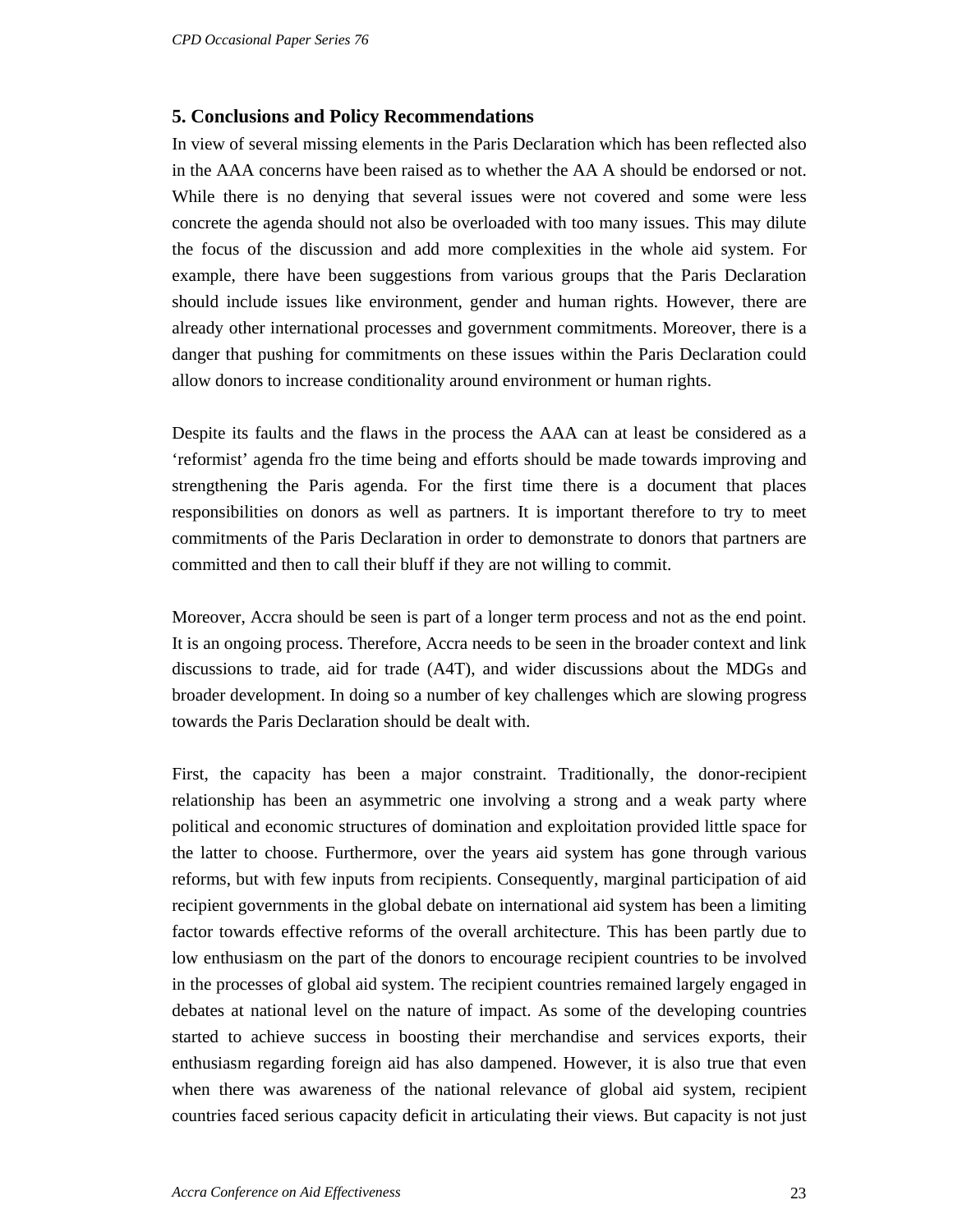### **5. Conclusions and Policy Recommendations**

In view of several missing elements in the Paris Declaration which has been reflected also in the AAA concerns have been raised as to whether the AA A should be endorsed or not. While there is no denying that several issues were not covered and some were less concrete the agenda should not also be overloaded with too many issues. This may dilute the focus of the discussion and add more complexities in the whole aid system. For example, there have been suggestions from various groups that the Paris Declaration should include issues like environment, gender and human rights. However, there are already other international processes and government commitments. Moreover, there is a danger that pushing for commitments on these issues within the Paris Declaration could allow donors to increase conditionality around environment or human rights.

Despite its faults and the flaws in the process the AAA can at least be considered as a 'reformist' agenda fro the time being and efforts should be made towards improving and strengthening the Paris agenda. For the first time there is a document that places responsibilities on donors as well as partners. It is important therefore to try to meet commitments of the Paris Declaration in order to demonstrate to donors that partners are committed and then to call their bluff if they are not willing to commit.

Moreover, Accra should be seen is part of a longer term process and not as the end point. It is an ongoing process. Therefore, Accra needs to be seen in the broader context and link discussions to trade, aid for trade (A4T), and wider discussions about the MDGs and broader development. In doing so a number of key challenges which are slowing progress towards the Paris Declaration should be dealt with.

First, the capacity has been a major constraint. Traditionally, the donor-recipient relationship has been an asymmetric one involving a strong and a weak party where political and economic structures of domination and exploitation provided little space for the latter to choose. Furthermore, over the years aid system has gone through various reforms, but with few inputs from recipients. Consequently, marginal participation of aid recipient governments in the global debate on international aid system has been a limiting factor towards effective reforms of the overall architecture. This has been partly due to low enthusiasm on the part of the donors to encourage recipient countries to be involved in the processes of global aid system. The recipient countries remained largely engaged in debates at national level on the nature of impact. As some of the developing countries started to achieve success in boosting their merchandise and services exports, their enthusiasm regarding foreign aid has also dampened. However, it is also true that even when there was awareness of the national relevance of global aid system, recipient countries faced serious capacity deficit in articulating their views. But capacity is not just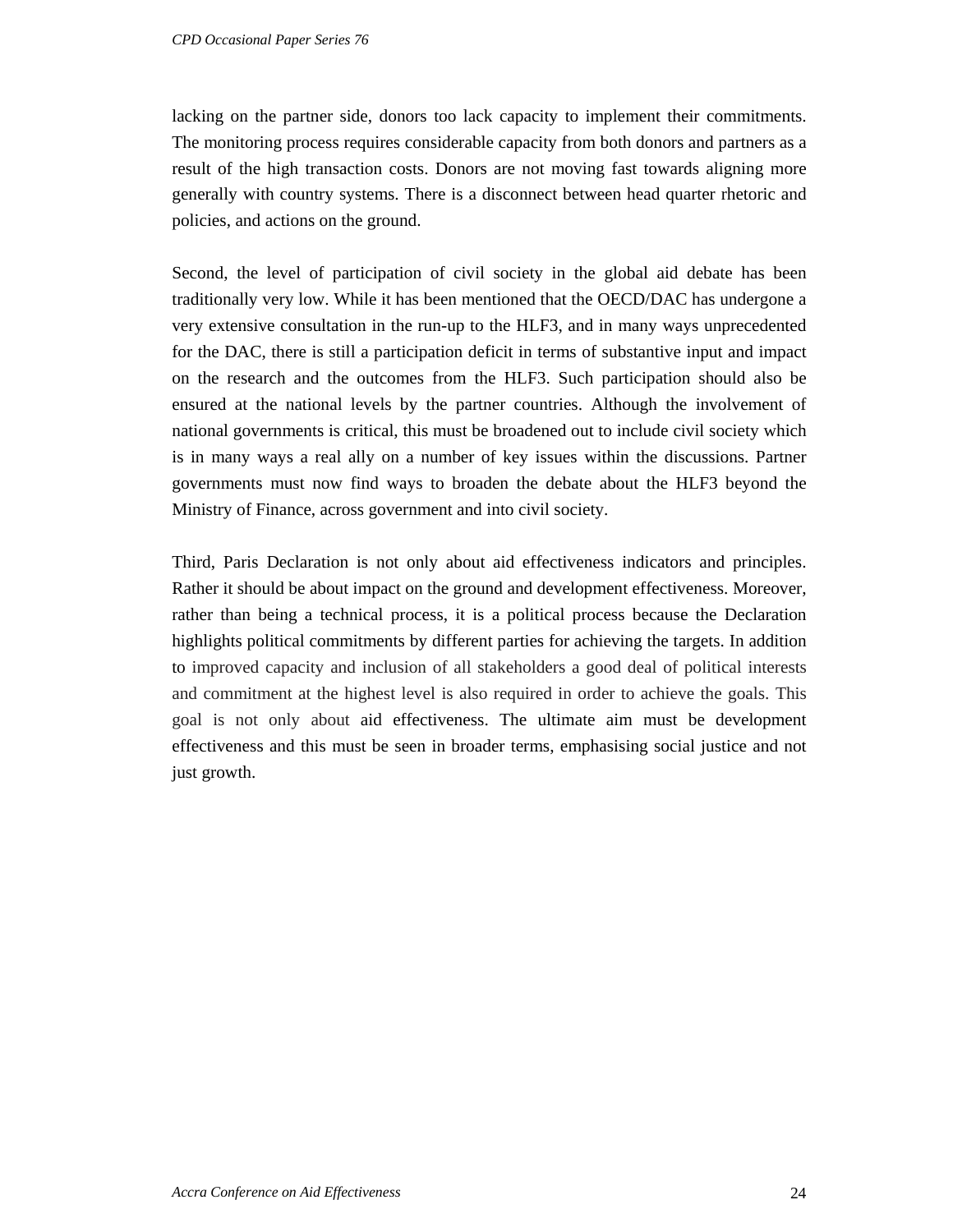lacking on the partner side, donors too lack capacity to implement their commitments. The monitoring process requires considerable capacity from both donors and partners as a result of the high transaction costs. Donors are not moving fast towards aligning more generally with country systems. There is a disconnect between head quarter rhetoric and policies, and actions on the ground.

Second, the level of participation of civil society in the global aid debate has been traditionally very low. While it has been mentioned that the OECD/DAC has undergone a very extensive consultation in the run-up to the HLF3, and in many ways unprecedented for the DAC, there is still a participation deficit in terms of substantive input and impact on the research and the outcomes from the HLF3. Such participation should also be ensured at the national levels by the partner countries. Although the involvement of national governments is critical, this must be broadened out to include civil society which is in many ways a real ally on a number of key issues within the discussions. Partner governments must now find ways to broaden the debate about the HLF3 beyond the Ministry of Finance, across government and into civil society.

Third, Paris Declaration is not only about aid effectiveness indicators and principles. Rather it should be about impact on the ground and development effectiveness. Moreover, rather than being a technical process, it is a political process because the Declaration highlights political commitments by different parties for achieving the targets. In addition to improved capacity and inclusion of all stakeholders a good deal of political interests and commitment at the highest level is also required in order to achieve the goals. This goal is not only about aid effectiveness. The ultimate aim must be development effectiveness and this must be seen in broader terms, emphasising social justice and not just growth.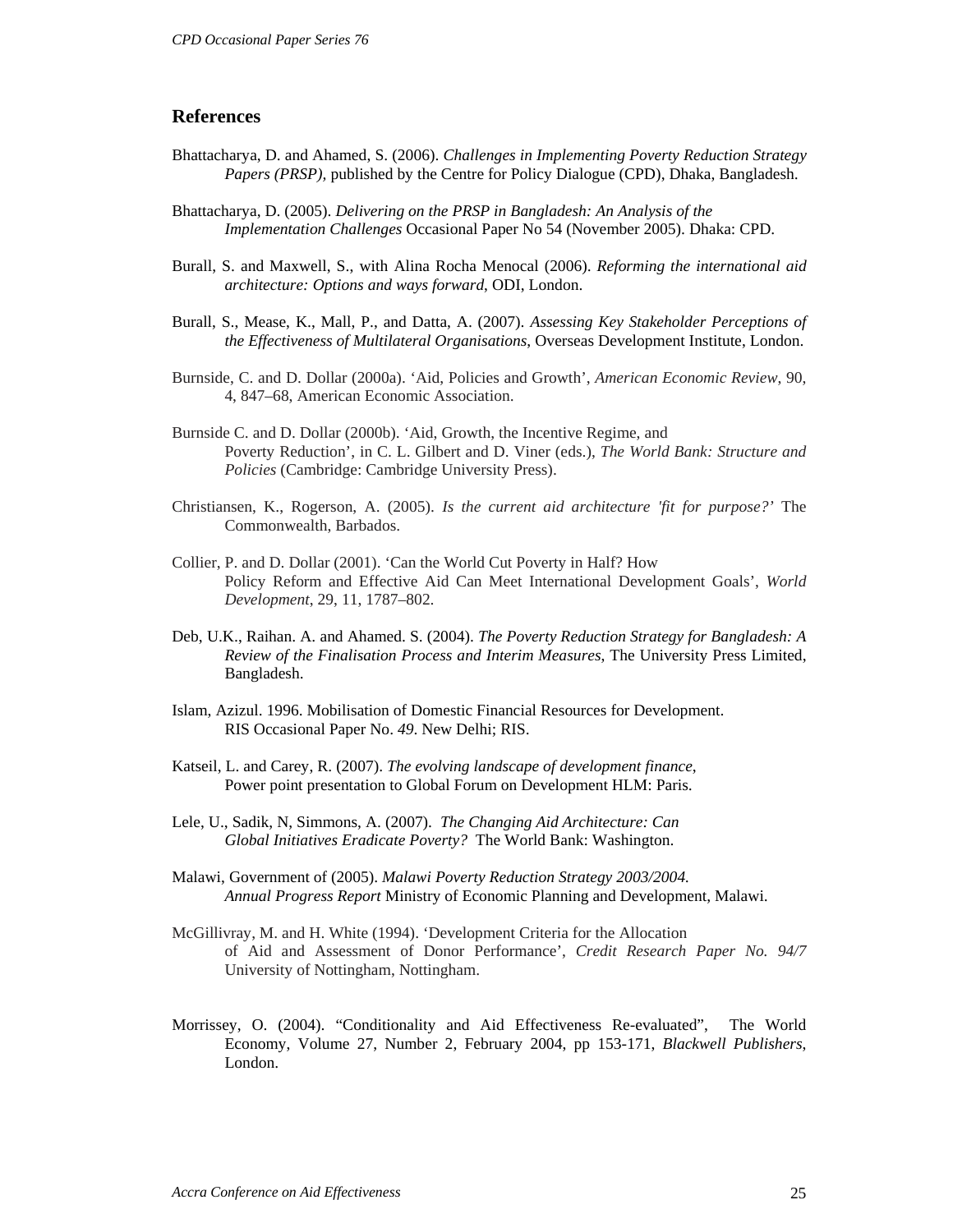#### **References**

- Bhattacharya, D. and Ahamed, S. (2006). *Challenges in Implementing Poverty Reduction Strategy Papers (PRSP),* published by the Centre for Policy Dialogue (CPD), Dhaka, Bangladesh.
- Bhattacharya, D. (2005). *Delivering on the PRSP in Bangladesh: An Analysis of the Implementation Challenges* Occasional Paper No 54 (November 2005). Dhaka: CPD.
- Burall, S. and Maxwell, S., with Alina Rocha Menocal (2006). *Reforming the international aid architecture: Options and ways forward*, ODI, London.
- Burall, S., Mease, K., Mall, P., and Datta, A. (2007). *Assessing Key Stakeholder Perceptions of the Effectiveness of Multilateral Organisations*, Overseas Development Institute, London.
- Burnside, C. and D. Dollar (2000a). 'Aid, Policies and Growth', *American Economic Review*, 90, 4, 847–68, American Economic Association.
- Burnside C. and D. Dollar (2000b). 'Aid, Growth, the Incentive Regime, and Poverty Reduction', in C. L. Gilbert and D. Viner (eds.), *The World Bank: Structure and Policies* (Cambridge: Cambridge University Press).
- Christiansen, K., Rogerson, A. (2005). *Is the current aid architecture 'fit for purpose?'* The Commonwealth, Barbados.
- Collier, P. and D. Dollar (2001). 'Can the World Cut Poverty in Half? How Policy Reform and Effective Aid Can Meet International Development Goals', *World Development*, 29, 11, 1787–802.
- Deb, U.K., Raihan. A. and Ahamed. S. (2004). *The Poverty Reduction Strategy for Bangladesh: A Review of the Finalisation Process and Interim Measures*, The University Press Limited, Bangladesh.
- Islam, Azizul. 1996. Mobilisation of Domestic Financial Resources for Development. RIS Occasional Paper No. *49*. New Delhi; RIS.
- Katseil, L. and Carey, R. (2007). *The evolving landscape of development finance*, Power point presentation to Global Forum on Development HLM: Paris.
- Lele, U., Sadik, N, Simmons, A. (2007). *The Changing Aid Architecture: Can Global Initiatives Eradicate Poverty?* The World Bank: Washington.
- Malawi, Government of (2005). *Malawi Poverty Reduction Strategy 2003/2004. Annual Progress Report* Ministry of Economic Planning and Development, Malawi.
- McGillivray, M. and H. White (1994). 'Development Criteria for the Allocation of Aid and Assessment of Donor Performance', *Credit Research Paper No. 94/7* University of Nottingham, Nottingham.
- Morrissey, O. (2004). "Conditionality and Aid Effectiveness Re-evaluated", The World Economy, Volume 27, Number 2, February 2004, pp 153-171, *Blackwell Publishers*, London.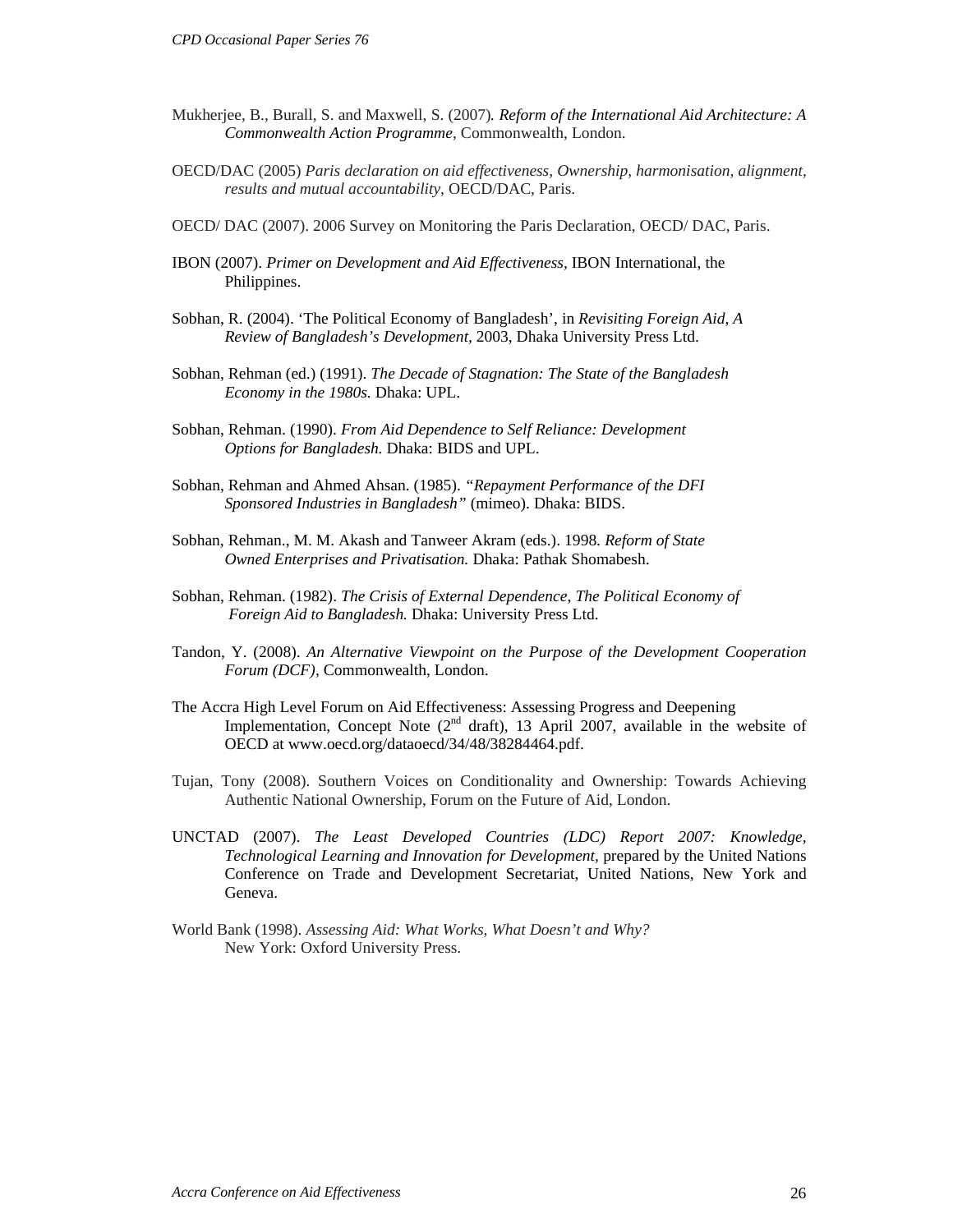- Mukherjee, B., Burall, S. and Maxwell, S. (2007)*. Reform of the International Aid Architecture: A Commonwealth Action Programme*, Commonwealth, London.
- OECD/DAC (2005) *Paris declaration on aid effectiveness, Ownership, harmonisation, alignment, results and mutual accountability*, OECD/DAC, Paris.
- OECD/ DAC (2007). 2006 Survey on Monitoring the Paris Declaration, OECD/ DAC, Paris.
- IBON (2007). *Primer on Development and Aid Effectiveness,* IBON International, the Philippines.
- Sobhan, R. (2004). 'The Political Economy of Bangladesh', in *Revisiting Foreign Aid, A Review of Bangladesh's Development,* 2003, Dhaka University Press Ltd.
- Sobhan, Rehman (ed.) (1991). *The Decade of Stagnation: The State of the Bangladesh Economy in the 1980s.* Dhaka: UPL.
- Sobhan, Rehman. (1990). *From Aid Dependence to Self Reliance: Development Options for Bangladesh.* Dhaka: BIDS and UPL.
- Sobhan, Rehman and Ahmed Ahsan. (1985). *"Repayment Performance of the DFI Sponsored Industries in Bangladesh"* (mimeo). Dhaka: BIDS.
- Sobhan, Rehman., M. M. Akash and Tanweer Akram (eds.). 1998. *Reform of State Owned Enterprises and Privatisation.* Dhaka: Pathak Shomabesh.
- Sobhan, Rehman. (1982). *The Crisis of External Dependence, The Political Economy of Foreign Aid to Bangladesh.* Dhaka: University Press Ltd.
- Tandon, Y. (2008). *An Alternative Viewpoint on the Purpose of the Development Cooperation Forum (DCF)*, Commonwealth, London.
- The Accra High Level Forum on Aid Effectiveness: Assessing Progress and Deepening Implementation, Concept Note  $(2<sup>nd</sup> draft)$ , 13 April 2007, available in the website of OECD at www.oecd.org/dataoecd/34/48/38284464.pdf.
- Tujan, Tony (2008). Southern Voices on Conditionality and Ownership: Towards Achieving Authentic National Ownership, Forum on the Future of Aid, London.
- UNCTAD (2007). *The Least Developed Countries (LDC) Report 2007: Knowledge, Technological Learning and Innovation for Development,* prepared by the United Nations Conference on Trade and Development Secretariat, United Nations, New York and Geneva.
- World Bank (1998). *Assessing Aid: What Works, What Doesn't and Why?*  New York: Oxford University Press.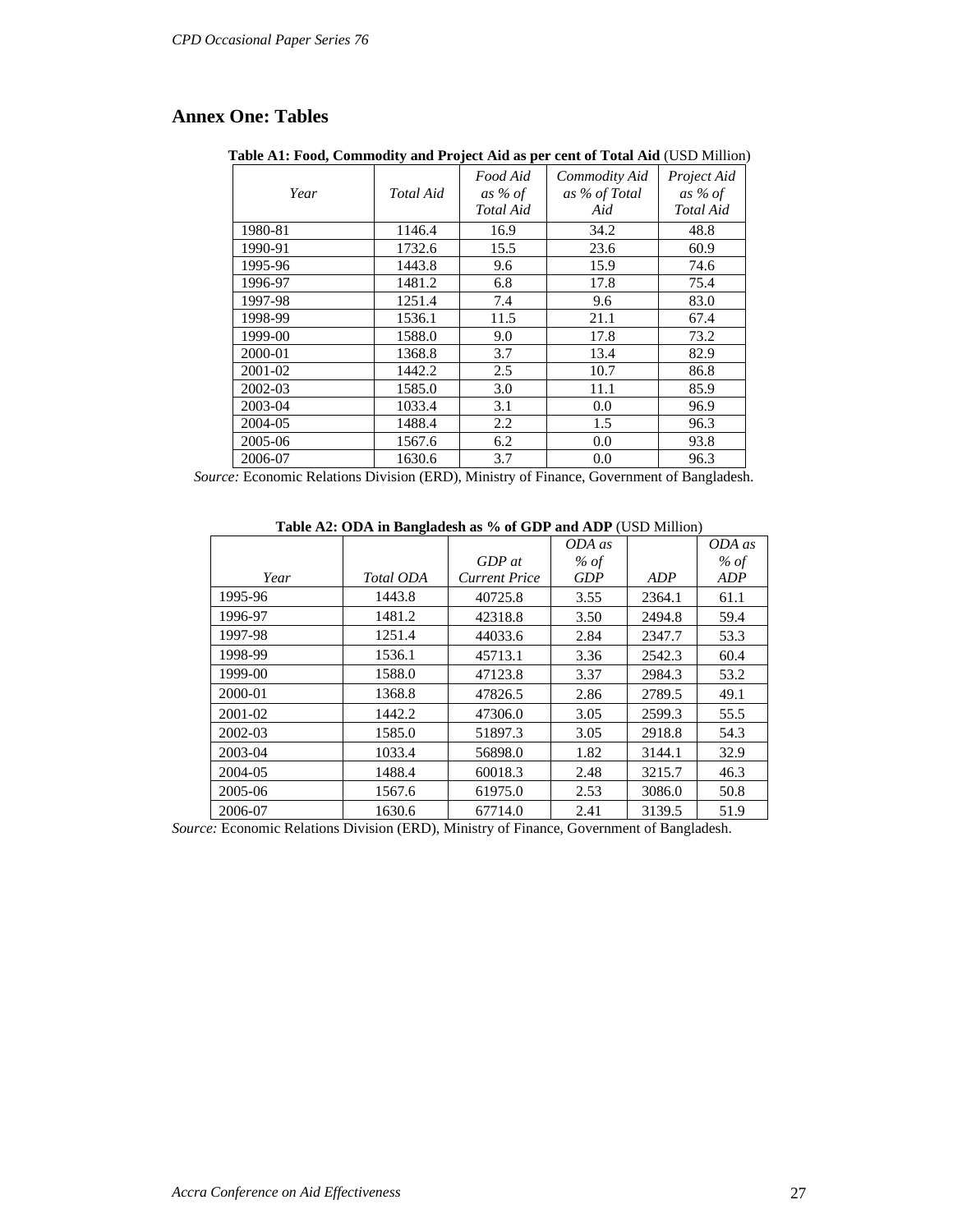## **Annex One: Tables**

**Table A1: Food, Commodity and Project Aid as per cent of Total Aid** (USD Million)

| Year    | Total Aid | Food Aid<br>as % of<br>Total Aid | Commodity Aid<br>as % of Total<br>Aid | Project Aid<br>as % of<br>Total Aid |
|---------|-----------|----------------------------------|---------------------------------------|-------------------------------------|
| 1980-81 | 1146.4    | 16.9                             | 34.2                                  | 48.8                                |
| 1990-91 | 1732.6    | 15.5                             | 23.6                                  | 60.9                                |
| 1995-96 | 1443.8    | 9.6                              | 15.9                                  | 74.6                                |
| 1996-97 | 1481.2    | 6.8                              | 17.8                                  | 75.4                                |
| 1997-98 | 1251.4    | 7.4                              | 9.6                                   | 83.0                                |
| 1998-99 | 1536.1    | 11.5                             | 21.1                                  | 67.4                                |
| 1999-00 | 1588.0    | 9.0                              | 17.8                                  | 73.2                                |
| 2000-01 | 1368.8    | 3.7                              | 13.4                                  | 82.9                                |
| 2001-02 | 1442.2    | 2.5                              | 10.7                                  | 86.8                                |
| 2002-03 | 1585.0    | 3.0                              | 11.1                                  | 85.9                                |
| 2003-04 | 1033.4    | 3.1                              | 0.0                                   | 96.9                                |
| 2004-05 | 1488.4    | 2.2                              | 1.5                                   | 96.3                                |
| 2005-06 | 1567.6    | 6.2                              | 0.0                                   | 93.8                                |
| 2006-07 | 1630.6    | 3.7                              | 0.0                                   | 96.3                                |

*Source:* Economic Relations Division (ERD), Ministry of Finance, Government of Bangladesh.

#### **Table A2: ODA in Bangladesh as % of GDP and ADP** (USD Million)

|             |           |                      | ODA as     |        | ODA as |
|-------------|-----------|----------------------|------------|--------|--------|
|             |           | $GDP$ at             | $%$ of     |        | $%$ of |
| Year        | Total ODA | <b>Current Price</b> | <b>GDP</b> | ADP    | ADP    |
| 1995-96     | 1443.8    | 40725.8              | 3.55       | 2364.1 | 61.1   |
| 1996-97     | 1481.2    | 42318.8              | 3.50       | 2494.8 | 59.4   |
| 1997-98     | 1251.4    | 44033.6              | 2.84       | 2347.7 | 53.3   |
| 1998-99     | 1536.1    | 45713.1              | 3.36       | 2542.3 | 60.4   |
| 1999-00     | 1588.0    | 47123.8              | 3.37       | 2984.3 | 53.2   |
| 2000-01     | 1368.8    | 47826.5              | 2.86       | 2789.5 | 49.1   |
| $2001 - 02$ | 1442.2    | 47306.0              | 3.05       | 2599.3 | 55.5   |
| $2002 - 03$ | 1585.0    | 51897.3              | 3.05       | 2918.8 | 54.3   |
| 2003-04     | 1033.4    | 56898.0              | 1.82       | 3144.1 | 32.9   |
| 2004-05     | 1488.4    | 60018.3              | 2.48       | 3215.7 | 46.3   |
| 2005-06     | 1567.6    | 61975.0              | 2.53       | 3086.0 | 50.8   |
| 2006-07     | 1630.6    | 67714.0              | 2.41       | 3139.5 | 51.9   |

*Source:* Economic Relations Division (ERD), Ministry of Finance, Government of Bangladesh.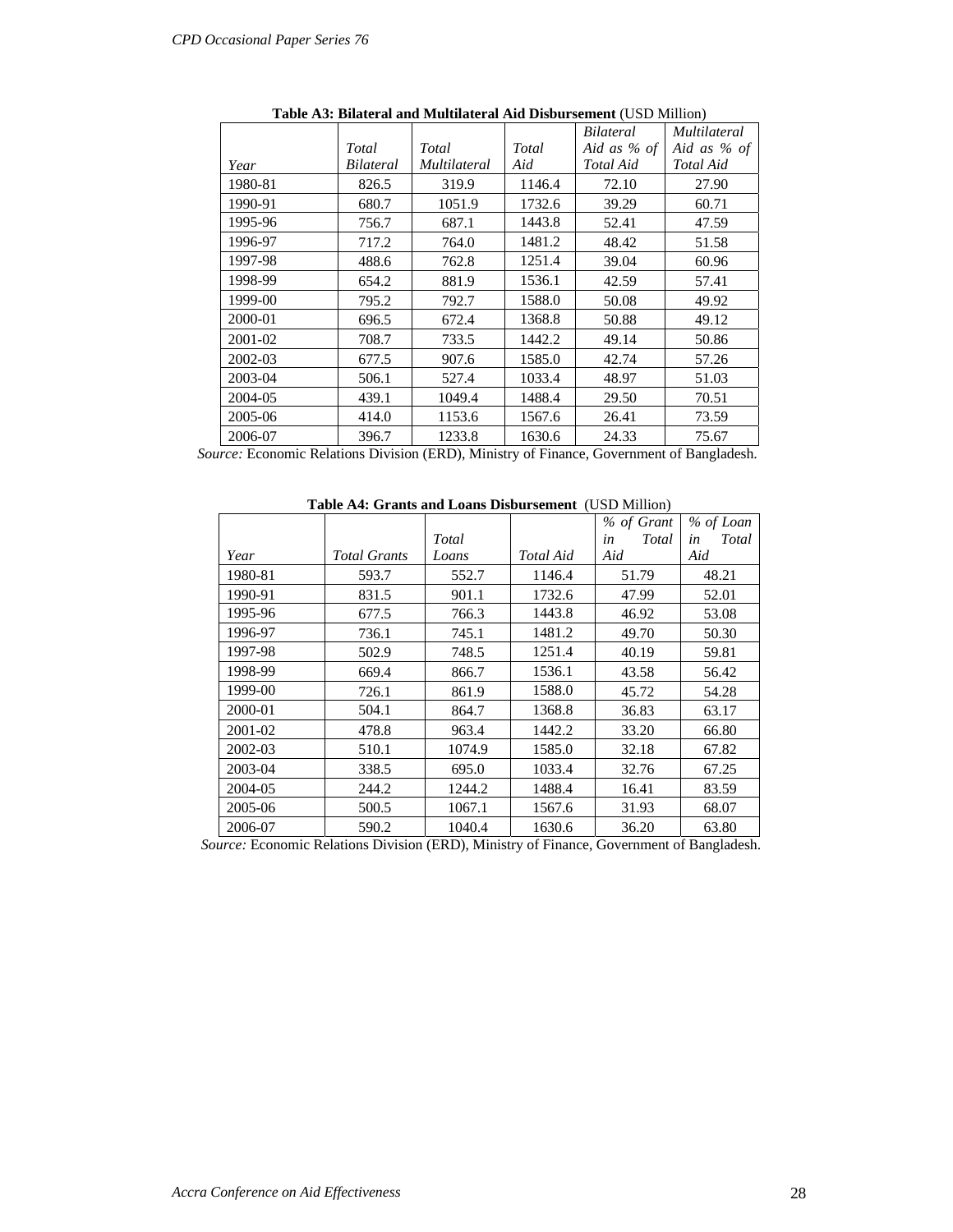|         |           |              |        | Bilateral     | Multilateral  |
|---------|-----------|--------------|--------|---------------|---------------|
|         | Total     | Total        | Total  | Aid as $%$ of | Aid as $%$ of |
| Year    | Bilateral | Multilateral | Aid    | Total Aid     | Total Aid     |
| 1980-81 | 826.5     | 319.9        | 1146.4 | 72.10         | 27.90         |
| 1990-91 | 680.7     | 1051.9       | 1732.6 | 39.29         | 60.71         |
| 1995-96 | 756.7     | 687.1        | 1443.8 | 52.41         | 47.59         |
| 1996-97 | 717.2     | 764.0        | 1481.2 | 48.42         | 51.58         |
| 1997-98 | 488.6     | 762.8        | 1251.4 | 39.04         | 60.96         |
| 1998-99 | 654.2     | 881.9        | 1536.1 | 42.59         | 57.41         |
| 1999-00 | 795.2     | 792.7        | 1588.0 | 50.08         | 49.92         |
| 2000-01 | 696.5     | 672.4        | 1368.8 | 50.88         | 49.12         |
| 2001-02 | 708.7     | 733.5        | 1442.2 | 49.14         | 50.86         |
| 2002-03 | 677.5     | 907.6        | 1585.0 | 42.74         | 57.26         |
| 2003-04 | 506.1     | 527.4        | 1033.4 | 48.97         | 51.03         |
| 2004-05 | 439.1     | 1049.4       | 1488.4 | 29.50         | 70.51         |
| 2005-06 | 414.0     | 1153.6       | 1567.6 | 26.41         | 73.59         |
| 2006-07 | 396.7     | 1233.8       | 1630.6 | 24.33         | 75.67         |

**Table A3: Bilateral and Multilateral Aid Disbursement** (USD Million)

 *Source:* Economic Relations Division (ERD), Ministry of Finance, Government of Bangladesh.

**Table A4: Grants and Loans Disbursement** (USD Million)

|         |                     |        |           | % of Grant  | % of Loan   |
|---------|---------------------|--------|-----------|-------------|-------------|
|         |                     | Total  |           | Total<br>in | Total<br>in |
| Year    | <i>Total Grants</i> | Loans  | Total Aid | Aid         | Aid         |
| 1980-81 | 593.7               | 552.7  | 1146.4    | 51.79       | 48.21       |
| 1990-91 | 831.5               | 901.1  | 1732.6    | 47.99       | 52.01       |
| 1995-96 | 677.5               | 766.3  | 1443.8    | 46.92       | 53.08       |
| 1996-97 | 736.1               | 745.1  | 1481.2    | 49.70       | 50.30       |
| 1997-98 | 502.9               | 748.5  | 1251.4    | 40.19       | 59.81       |
| 1998-99 | 669.4               | 866.7  | 1536.1    | 43.58       | 56.42       |
| 1999-00 | 726.1               | 861.9  | 1588.0    | 45.72       | 54.28       |
| 2000-01 | 504.1               | 864.7  | 1368.8    | 36.83       | 63.17       |
| 2001-02 | 478.8               | 963.4  | 1442.2    | 33.20       | 66.80       |
| 2002-03 | 510.1               | 1074.9 | 1585.0    | 32.18       | 67.82       |
| 2003-04 | 338.5               | 695.0  | 1033.4    | 32.76       | 67.25       |
| 2004-05 | 244.2               | 1244.2 | 1488.4    | 16.41       | 83.59       |
| 2005-06 | 500.5               | 1067.1 | 1567.6    | 31.93       | 68.07       |
| 2006-07 | 590.2               | 1040.4 | 1630.6    | 36.20       | 63.80       |

*Source:* Economic Relations Division (ERD), Ministry of Finance, Government of Bangladesh.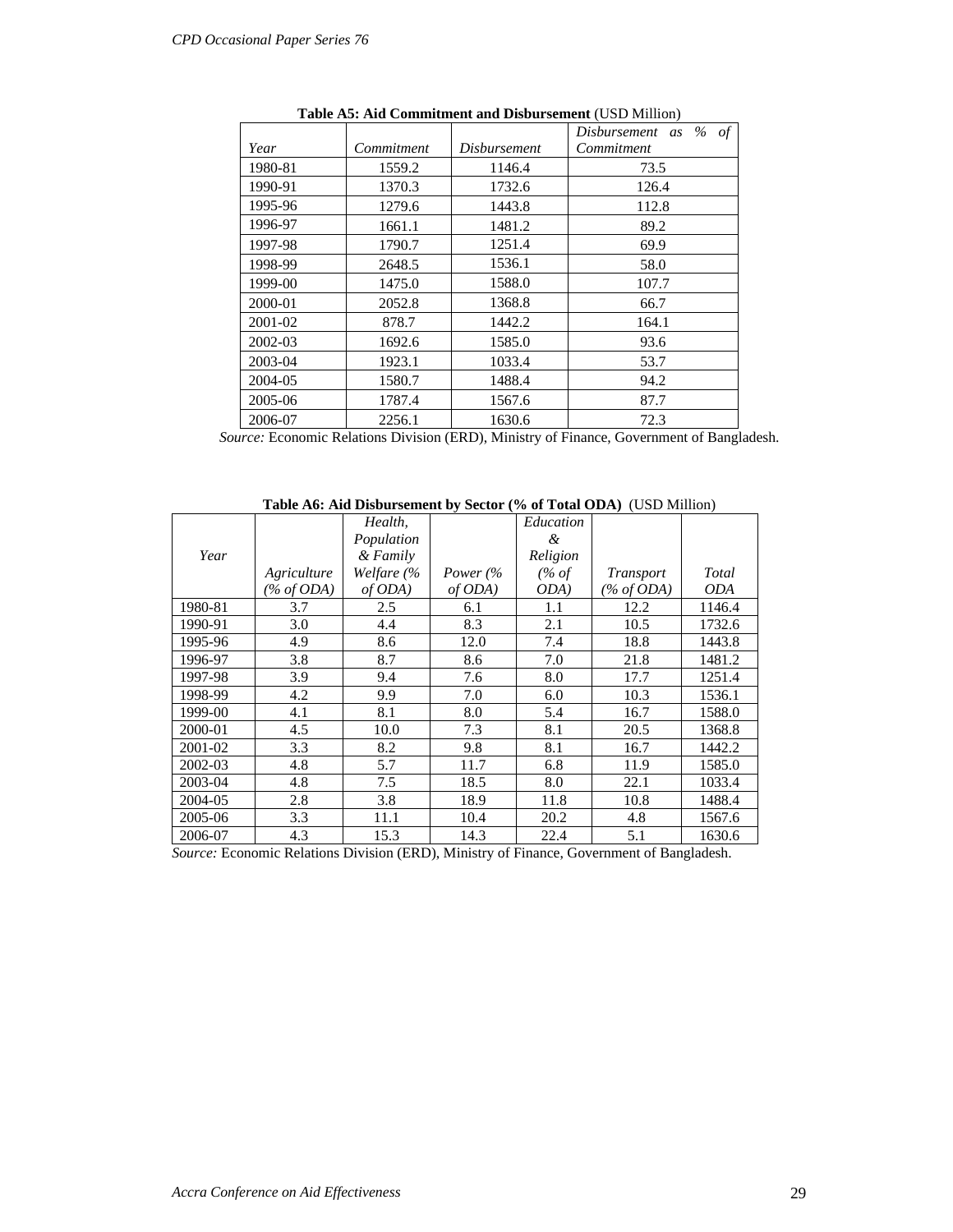|         |            |              | Disbursement as $\%$<br>of |
|---------|------------|--------------|----------------------------|
| Year    | Commitment | Disbursement | Commitment                 |
| 1980-81 | 1559.2     | 1146.4       | 73.5                       |
| 1990-91 | 1370.3     | 1732.6       | 126.4                      |
| 1995-96 | 1279.6     | 1443.8       | 112.8                      |
| 1996-97 | 1661.1     | 1481.2       | 89.2                       |
| 1997-98 | 1790.7     | 1251.4       | 69.9                       |
| 1998-99 | 2648.5     | 1536.1       | 58.0                       |
| 1999-00 | 1475.0     | 1588.0       | 107.7                      |
| 2000-01 | 2052.8     | 1368.8       | 66.7                       |
| 2001-02 | 878.7      | 1442.2       | 164.1                      |
| 2002-03 | 1692.6     | 1585.0       | 93.6                       |
| 2003-04 | 1923.1     | 1033.4       | 53.7                       |
| 2004-05 | 1580.7     | 1488.4       | 94.2                       |
| 2005-06 | 1787.4     | 1567.6       | 87.7                       |
| 2006-07 | 2256.1     | 1630.6       | 72.3                       |

**Table A5: Aid Commitment and Disbursement** (USD Million)

 *Source:* Economic Relations Division (ERD), Ministry of Finance, Government of Bangladesh.

**Table A6: Aid Disbursement by Sector (% of Total ODA)** (USD Million)

|         |                               | Health,    |                     | Education |                  |            |
|---------|-------------------------------|------------|---------------------|-----------|------------------|------------|
|         |                               | Population |                     | &.        |                  |            |
| Year    |                               | & Family   |                     | Religion  |                  |            |
|         | Agriculture                   | Welfare (% | Power $\frac{6}{6}$ | $(\%$ of  | <i>Transport</i> | Total      |
|         | $\frac{\% of ODA}{\% of ODA}$ | of ODA)    | of ODA)             | ODA)      | $(\% of ODA)$    | <i>ODA</i> |
| 1980-81 | 3.7                           | 2.5        | 6.1                 | 1.1       | 12.2             | 1146.4     |
| 1990-91 | 3.0                           | 4.4        | 8.3                 | 2.1       | 10.5             | 1732.6     |
| 1995-96 | 4.9                           | 8.6        | 12.0                | 7.4       | 18.8             | 1443.8     |
| 1996-97 | 3.8                           | 8.7        | 8.6                 | 7.0       | 21.8             | 1481.2     |
| 1997-98 | 3.9                           | 9.4        | 7.6                 | 8.0       | 17.7             | 1251.4     |
| 1998-99 | 4.2                           | 9.9        | 7.0                 | 6.0       | 10.3             | 1536.1     |
| 1999-00 | 4.1                           | 8.1        | 8.0                 | 5.4       | 16.7             | 1588.0     |
| 2000-01 | 4.5                           | 10.0       | 7.3                 | 8.1       | 20.5             | 1368.8     |
| 2001-02 | 3.3                           | 8.2        | 9.8                 | 8.1       | 16.7             | 1442.2     |
| 2002-03 | 4.8                           | 5.7        | 11.7                | 6.8       | 11.9             | 1585.0     |
| 2003-04 | 4.8                           | 7.5        | 18.5                | 8.0       | 22.1             | 1033.4     |
| 2004-05 | 2.8                           | 3.8        | 18.9                | 11.8      | 10.8             | 1488.4     |
| 2005-06 | 3.3                           | 11.1       | 10.4                | 20.2      | 4.8              | 1567.6     |
| 2006-07 | 4.3                           | 15.3       | 14.3                | 22.4      | 5.1              | 1630.6     |

*Source:* Economic Relations Division (ERD), Ministry of Finance, Government of Bangladesh.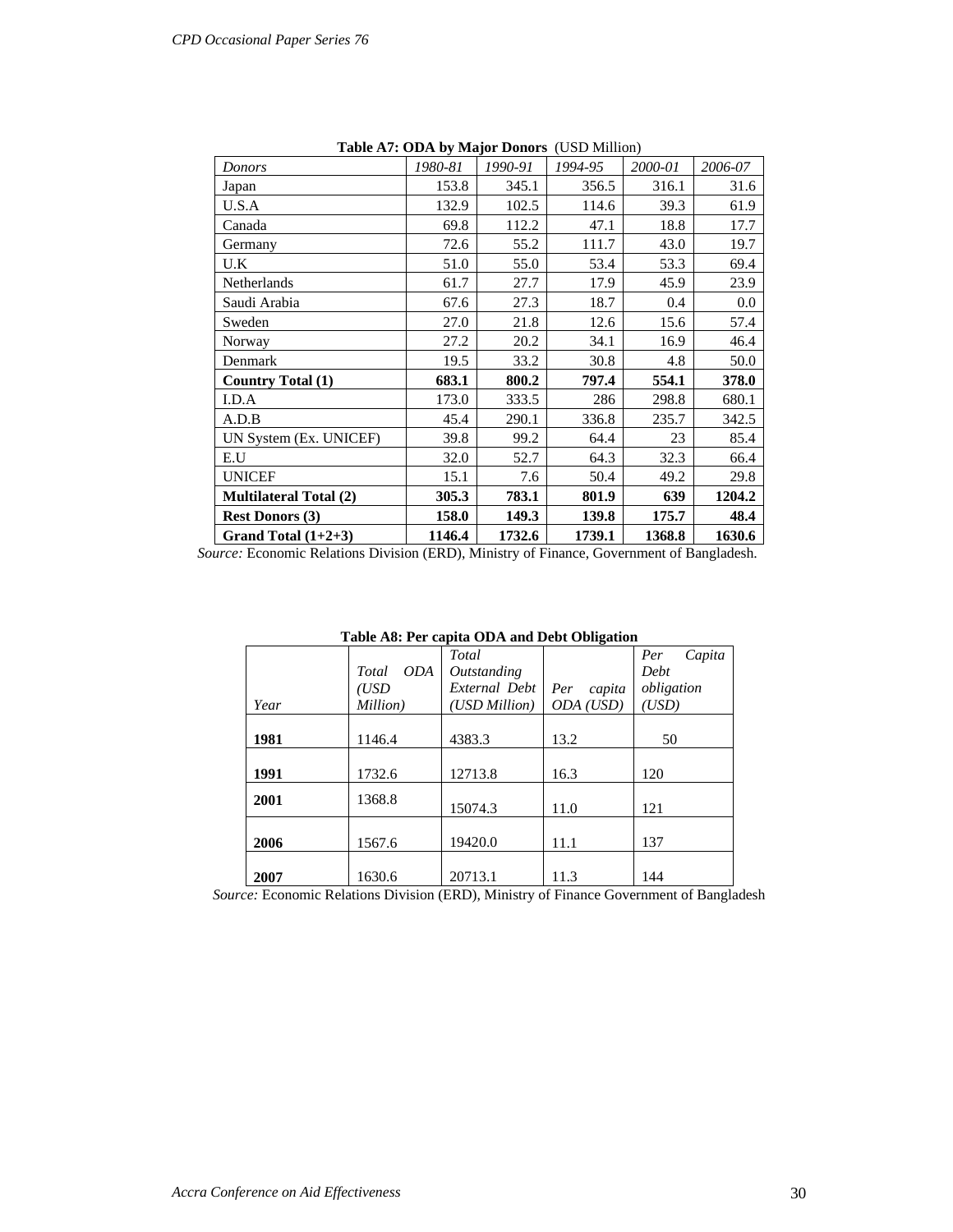| rapic Art. Opta by major poliors (CSD Million) |         |         |         |         |         |
|------------------------------------------------|---------|---------|---------|---------|---------|
| <b>Donors</b>                                  | 1980-81 | 1990-91 | 1994-95 | 2000-01 | 2006-07 |
| Japan                                          | 153.8   | 345.1   | 356.5   | 316.1   | 31.6    |
| U.S.A                                          | 132.9   | 102.5   | 114.6   | 39.3    | 61.9    |
| Canada                                         | 69.8    | 112.2   | 47.1    | 18.8    | 17.7    |
| Germany                                        | 72.6    | 55.2    | 111.7   | 43.0    | 19.7    |
| U.K                                            | 51.0    | 55.0    | 53.4    | 53.3    | 69.4    |
| Netherlands                                    | 61.7    | 27.7    | 17.9    | 45.9    | 23.9    |
| Saudi Arabia                                   | 67.6    | 27.3    | 18.7    | 0.4     | 0.0     |
| Sweden                                         | 27.0    | 21.8    | 12.6    | 15.6    | 57.4    |
| Norway                                         | 27.2    | 20.2    | 34.1    | 16.9    | 46.4    |
| Denmark                                        | 19.5    | 33.2    | 30.8    | 4.8     | 50.0    |
| <b>Country Total (1)</b>                       | 683.1   | 800.2   | 797.4   | 554.1   | 378.0   |
| I.D.A                                          | 173.0   | 333.5   | 286     | 298.8   | 680.1   |
| A.D.B                                          | 45.4    | 290.1   | 336.8   | 235.7   | 342.5   |
| UN System (Ex. UNICEF)                         | 39.8    | 99.2    | 64.4    | 23      | 85.4    |
| E.U                                            | 32.0    | 52.7    | 64.3    | 32.3    | 66.4    |
| <b>UNICEF</b>                                  | 15.1    | 7.6     | 50.4    | 49.2    | 29.8    |
| <b>Multilateral Total (2)</b>                  | 305.3   | 783.1   | 801.9   | 639     | 1204.2  |
| <b>Rest Donors (3)</b>                         | 158.0   | 149.3   | 139.8   | 175.7   | 48.4    |
| Grand Total $(1+2+3)$                          | 1146.4  | 1732.6  | 1739.1  | 1368.8  | 1630.6  |

**Table A7: ODA by Major Donors** (USD Million)

*Source:* Economic Relations Division (ERD), Ministry of Finance, Government of Bangladesh.

|      |                     | Table Ao, I et capita ODA and Debt Obligation |               |               |
|------|---------------------|-----------------------------------------------|---------------|---------------|
|      |                     | Total                                         |               | Capita<br>Per |
|      | <i>ODA</i><br>Total | Outstanding                                   |               | Debt          |
|      | (USD                | External Debt                                 | Per<br>capita | obligation    |
| Year | Million)            | (USD Million)                                 | ODA (USD)     | (USD)         |
|      |                     |                                               |               |               |
| 1981 | 1146.4              | 4383.3                                        | 13.2          | 50            |
|      |                     |                                               |               |               |
| 1991 | 1732.6              | 12713.8                                       | 16.3          | 120           |
| 2001 | 1368.8              |                                               |               |               |
|      |                     | 15074.3                                       | 11.0          | 121           |
|      |                     |                                               |               |               |
| 2006 | 1567.6              | 19420.0                                       | 11.1          | 137           |
|      |                     |                                               |               |               |
| 2007 | 1630.6              | 20713.1                                       | 11.3          | 144           |
|      |                     |                                               |               |               |

**Table A8: Per capita ODA and Debt Obligation** 

*Source:* Economic Relations Division (ERD), Ministry of Finance Government of Bangladesh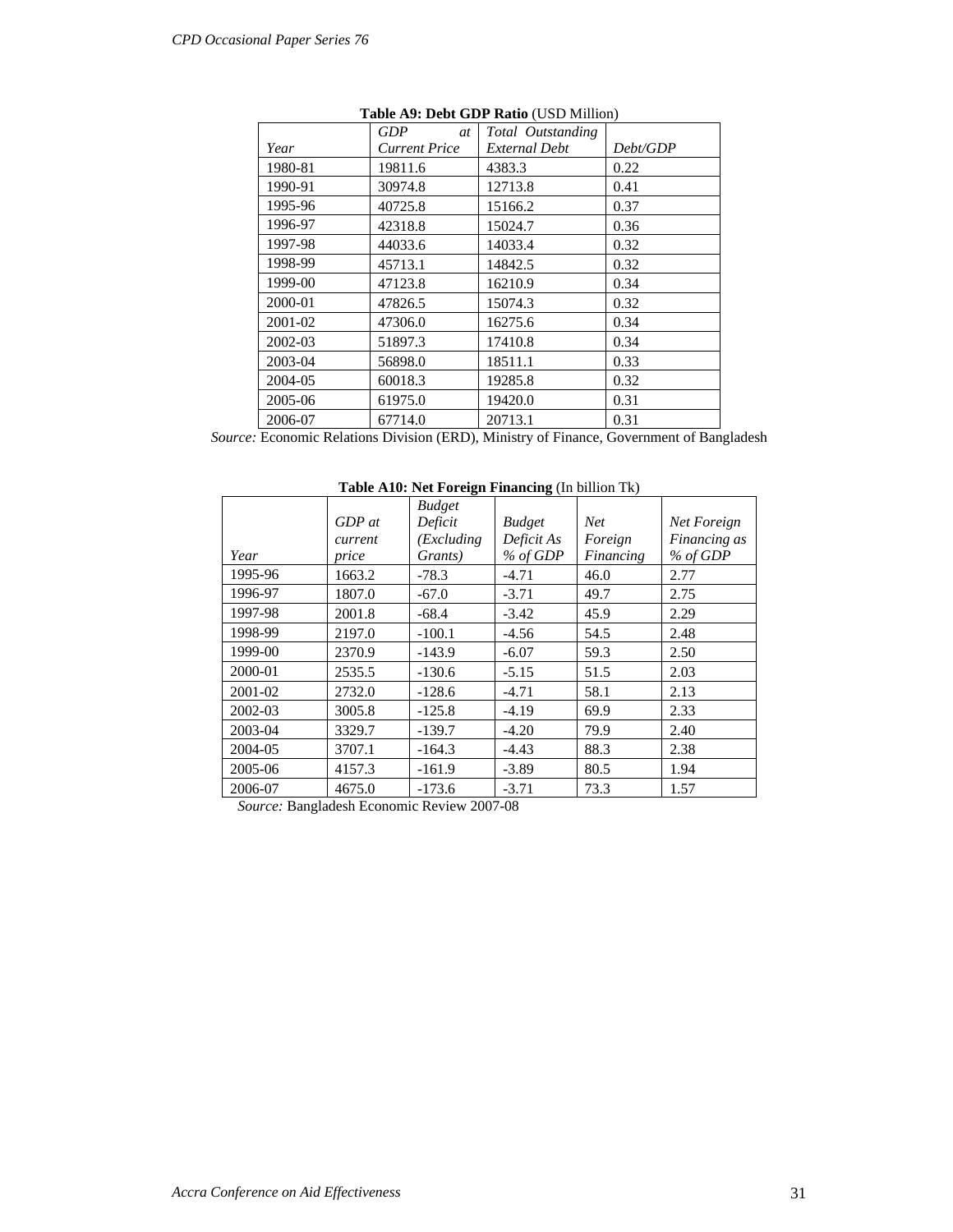|         | GDP<br><i>at</i>     | Total Outstanding |          |
|---------|----------------------|-------------------|----------|
| Year    | <b>Current Price</b> | External Debt     | Debt/GDP |
| 1980-81 | 19811.6              | 4383.3            | 0.22     |
| 1990-91 | 30974.8              | 12713.8           | 0.41     |
| 1995-96 | 40725.8              | 15166.2           | 0.37     |
| 1996-97 | 42318.8              | 15024.7           | 0.36     |
| 1997-98 | 44033.6              | 14033.4           | 0.32     |
| 1998-99 | 45713.1              | 14842.5           | 0.32     |
| 1999-00 | 47123.8              | 16210.9           | 0.34     |
| 2000-01 | 47826.5              | 15074.3           | 0.32     |
| 2001-02 | 47306.0              | 16275.6           | 0.34     |
| 2002-03 | 51897.3              | 17410.8           | 0.34     |
| 2003-04 | 56898.0              | 18511.1           | 0.33     |
| 2004-05 | 60018.3              | 19285.8           | 0.32     |
| 2005-06 | 61975.0              | 19420.0           | 0.31     |
| 2006-07 | 67714.0              | 20713.1           | 0.31     |

#### **Table A9: Debt GDP Ratio** (USD Million)

*Source:* Economic Relations Division (ERD), Ministry of Finance, Government of Bangladesh

*Year GDP at current price Budget Deficit (Excluding Grants) Budget Deficit As % of GDP Net Foreign Financing Net Foreign Financing as % of GDP*  1995-96 | 1663.2 | -78.3 | -4.71 | 46.0 | 2.77 1996-97 | 1807.0 | -67.0 | -3.71 | 49.7 | 2.75 1997-98 | 2001.8 | -68.4 | -3.42 | 45.9 | 2.29 1998-99 | 2197.0 | -100.1 | -4.56 | 54.5 | 2.48 1999-00 | 2370.9 | -143.9 | -6.07 | 59.3 | 2.50 2000-01 | 2535.5 | -130.6 | -5.15 | 51.5 | 2.03 2001-02 | 2732.0 | -128.6 | -4.71 | 58.1 | 2.13 2002-03 3005.8 -125.8 -4.19 69.9 2.33 2003-04 | 3329.7 | -139.7 | -4.20 | 79.9 | 2.40 2004-05 | 3707.1 | -164.3 | -4.43 | 88.3 | 2.38 2005-06 | 4157.3 | -161.9 | -3.89 | 80.5 | 1.94 2006-07 | 4675.0 | -173.6 | -3.71 | 73.3 | 1.57

**Table A10: Net Foreign Financing** (In billion Tk)

 *Source:* Bangladesh Economic Review 2007-08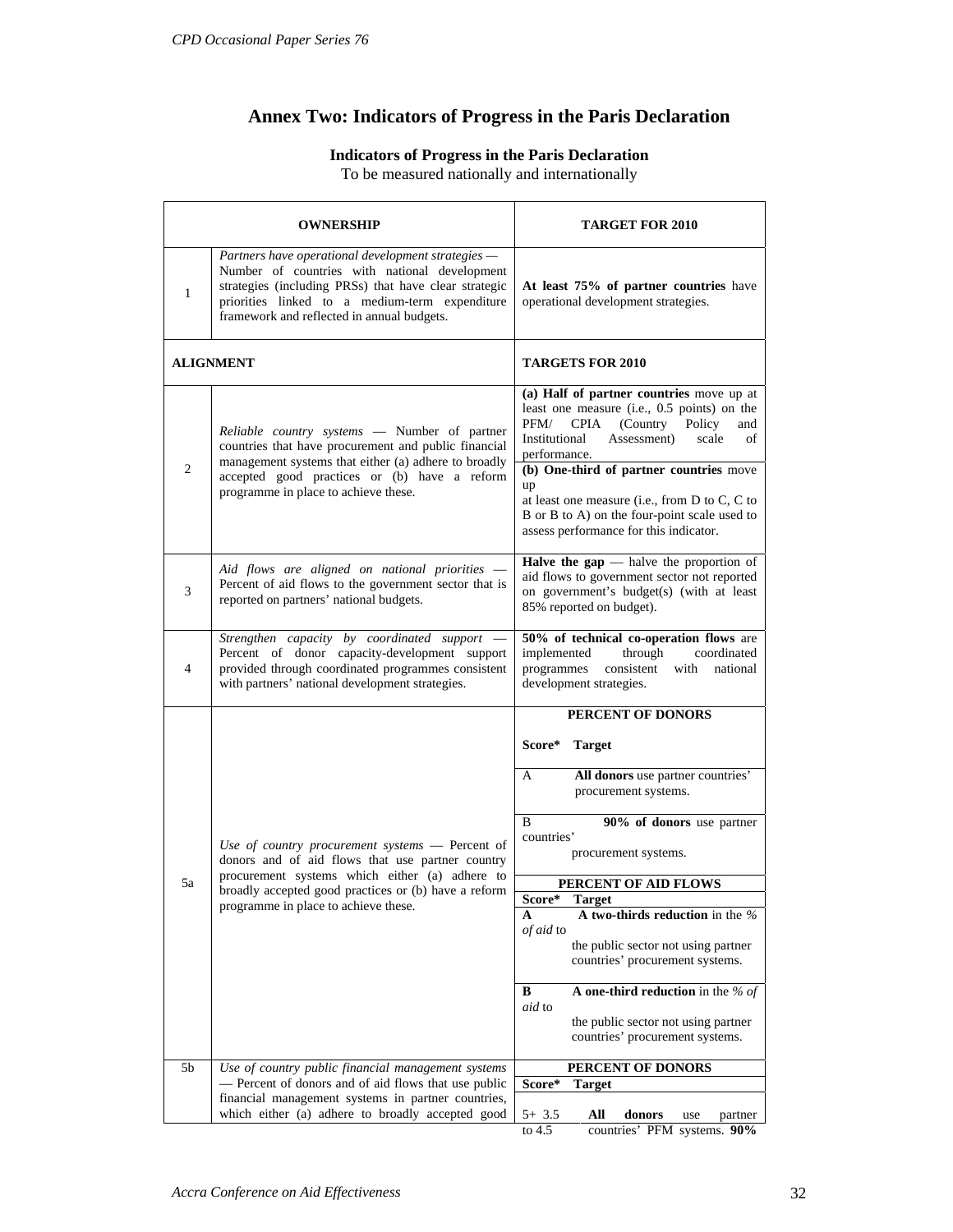## **Annex Two: Indicators of Progress in the Paris Declaration**

## **Indicators of Progress in the Paris Declaration**

To be measured nationally and internationally

|                                                                                                                                                                                                                                                                              | OWNERSHIP                                                                                                                                                                                                                                            | <b>TARGET FOR 2010</b>                                                                                                                                                                                                                                                                                                                                                                                        |  |
|------------------------------------------------------------------------------------------------------------------------------------------------------------------------------------------------------------------------------------------------------------------------------|------------------------------------------------------------------------------------------------------------------------------------------------------------------------------------------------------------------------------------------------------|---------------------------------------------------------------------------------------------------------------------------------------------------------------------------------------------------------------------------------------------------------------------------------------------------------------------------------------------------------------------------------------------------------------|--|
| Partners have operational development strategies -<br>Number of countries with national development<br>strategies (including PRSs) that have clear strategic<br>$\mathbf{1}$<br>priorities linked to a medium-term expenditure<br>framework and reflected in annual budgets. |                                                                                                                                                                                                                                                      | At least 75% of partner countries have<br>operational development strategies.                                                                                                                                                                                                                                                                                                                                 |  |
|                                                                                                                                                                                                                                                                              | <b>ALIGNMENT</b>                                                                                                                                                                                                                                     | <b>TARGETS FOR 2010</b>                                                                                                                                                                                                                                                                                                                                                                                       |  |
| $\overline{2}$                                                                                                                                                                                                                                                               | Reliable country systems - Number of partner<br>countries that have procurement and public financial<br>management systems that either (a) adhere to broadly<br>accepted good practices or (b) have a reform<br>programme in place to achieve these. | (a) Half of partner countries move up at<br>least one measure (i.e., 0.5 points) on the<br><b>CPIA</b><br>PFM/<br>(Country<br>Policy<br>and<br>Institutional<br>Assessment)<br>scale<br>οf<br>performance.<br>(b) One-third of partner countries move<br>up<br>at least one measure (i.e., from $D$ to $C$ , $C$ to<br>B or B to A) on the four-point scale used to<br>assess performance for this indicator. |  |
| 3                                                                                                                                                                                                                                                                            | Aid flows are aligned on national priorities -<br>Percent of aid flows to the government sector that is<br>reported on partners' national budgets.                                                                                                   | Halve the $\text{gap}$ - halve the proportion of<br>aid flows to government sector not reported<br>on government's budget(s) (with at least<br>85% reported on budget).                                                                                                                                                                                                                                       |  |
| $\overline{4}$                                                                                                                                                                                                                                                               | Strengthen capacity by coordinated support<br>Percent of donor capacity-development support<br>provided through coordinated programmes consistent<br>with partners' national development strategies.                                                 | 50% of technical co-operation flows are<br>implemented<br>through<br>coordinated<br>consistent<br>programmes<br>with<br>national<br>development strategies.                                                                                                                                                                                                                                                   |  |
|                                                                                                                                                                                                                                                                              |                                                                                                                                                                                                                                                      | PERCENT OF DONORS                                                                                                                                                                                                                                                                                                                                                                                             |  |
|                                                                                                                                                                                                                                                                              | Use of country procurement systems $-$ Percent of<br>donors and of aid flows that use partner country                                                                                                                                                | Score*<br><b>Target</b>                                                                                                                                                                                                                                                                                                                                                                                       |  |
|                                                                                                                                                                                                                                                                              |                                                                                                                                                                                                                                                      | All donors use partner countries'<br>A<br>procurement systems.                                                                                                                                                                                                                                                                                                                                                |  |
|                                                                                                                                                                                                                                                                              |                                                                                                                                                                                                                                                      | 90% of donors use partner<br>B<br>countries'<br>procurement systems.                                                                                                                                                                                                                                                                                                                                          |  |
| 5a                                                                                                                                                                                                                                                                           | procurement systems which either (a) adhere to<br>broadly accepted good practices or (b) have a reform                                                                                                                                               | PERCENT OF AID FLOWS<br>Score*<br>Target                                                                                                                                                                                                                                                                                                                                                                      |  |
|                                                                                                                                                                                                                                                                              | programme in place to achieve these.                                                                                                                                                                                                                 | A two-thirds reduction in the $\%$<br>A<br>of aid to<br>the public sector not using partner<br>countries' procurement systems.                                                                                                                                                                                                                                                                                |  |
|                                                                                                                                                                                                                                                                              |                                                                                                                                                                                                                                                      | A one-third reduction in the % of<br>В<br>aid to<br>the public sector not using partner<br>countries' procurement systems.                                                                                                                                                                                                                                                                                    |  |
| 5 <sub>b</sub>                                                                                                                                                                                                                                                               | Use of country public financial management systems                                                                                                                                                                                                   | PERCENT OF DONORS                                                                                                                                                                                                                                                                                                                                                                                             |  |
|                                                                                                                                                                                                                                                                              | - Percent of donors and of aid flows that use public<br>financial management systems in partner countries,                                                                                                                                           | Score*<br><b>Target</b>                                                                                                                                                                                                                                                                                                                                                                                       |  |
|                                                                                                                                                                                                                                                                              | which either (a) adhere to broadly accepted good                                                                                                                                                                                                     | All<br>donors<br>$5+3.5$<br>use<br>partner<br>to 4.5<br>countries' PFM systems. 90%                                                                                                                                                                                                                                                                                                                           |  |